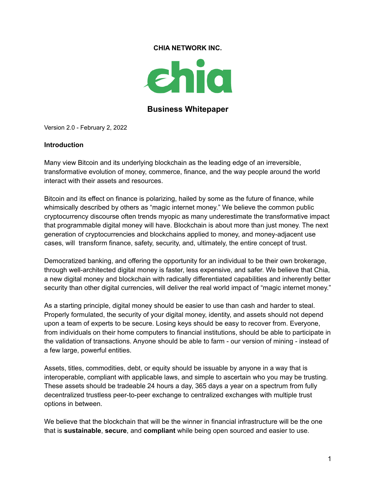#### **CHIA NETWORK INC.**



### **Business Whitepaper**

Version 2.0 - February 2, 2022

#### **Introduction**

Many view Bitcoin and its underlying blockchain as the leading edge of an irreversible, transformative evolution of money, commerce, finance, and the way people around the world interact with their assets and resources.

Bitcoin and its effect on finance is polarizing, hailed by some as the future of finance, while whimsically described by others as "magic internet money." We believe the common public cryptocurrency discourse often trends myopic as many underestimate the transformative impact that programmable digital money will have. Blockchain is about more than just money. The next generation of cryptocurrencies and blockchains applied to money, and money-adjacent use cases, will transform finance, safety, security, and, ultimately, the entire concept of trust.

Democratized banking, and offering the opportunity for an individual to be their own brokerage, through well-architected digital money is faster, less expensive, and safer. We believe that Chia, a new digital money and blockchain with radically differentiated capabilities and inherently better security than other digital currencies, will deliver the real world impact of "magic internet money."

As a starting principle, digital money should be easier to use than cash and harder to steal. Properly formulated, the security of your digital money, identity, and assets should not depend upon a team of experts to be secure. Losing keys should be easy to recover from. Everyone, from individuals on their home computers to financial institutions, should be able to participate in the validation of transactions. Anyone should be able to farm - our version of mining - instead of a few large, powerful entities.

Assets, titles, commodities, debt, or equity should be issuable by anyone in a way that is interoperable, compliant with applicable laws, and simple to ascertain who you may be trusting. These assets should be tradeable 24 hours a day, 365 days a year on a spectrum from fully decentralized trustless peer-to-peer exchange to centralized exchanges with multiple trust options in between.

We believe that the blockchain that will be the winner in financial infrastructure will be the one that is **sustainable**, **secure**, and **compliant** while being open sourced and easier to use.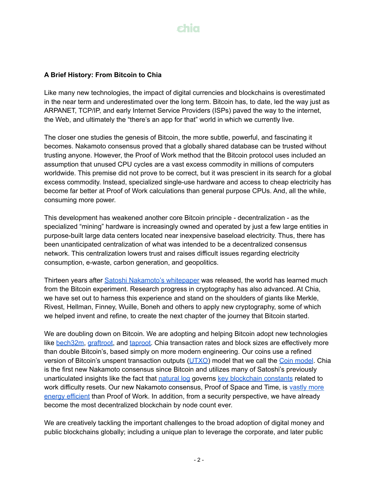#### **A Brief History: From Bitcoin to Chia**

Like many new technologies, the impact of digital currencies and blockchains is overestimated in the near term and underestimated over the long term. Bitcoin has, to date, led the way just as ARPANET, TCP/IP, and early Internet Service Providers (ISPs) paved the way to the internet, the Web, and ultimately the "there's an app for that" world in which we currently live.

The closer one studies the genesis of Bitcoin, the more subtle, powerful, and fascinating it becomes. Nakamoto consensus proved that a globally shared database can be trusted without trusting anyone. However, the Proof of Work method that the Bitcoin protocol uses included an assumption that unused CPU cycles are a vast excess commodity in millions of computers worldwide. This premise did not prove to be correct, but it was prescient in its search for a global excess commodity. Instead, specialized single-use hardware and access to cheap electricity has become far better at Proof of Work calculations than general purpose CPUs. And, all the while, consuming more power.

This development has weakened another core Bitcoin principle - decentralization - as the specialized "mining" hardware is increasingly owned and operated by just a few large entities in purpose-built large data centers located near inexpensive baseload electricity. Thus, there has been unanticipated centralization of what was intended to be a decentralized consensus network. This centralization lowers trust and raises difficult issues regarding electricity consumption, e-waste, carbon generation, and geopolitics.

Thirteen years after Satoshi [Nakamoto's](https://www.chia.net/assets/bitcoin.pdf) whitepaper was released, the world has learned much from the Bitcoin experiment. Research progress in cryptography has also advanced. At Chia, we have set out to harness this experience and stand on the shoulders of giants like Merkle, Rivest, Hellman, Finney, Wuille, Boneh and others to apply new cryptography, some of which we helped invent and refine, to create the next chapter of the journey that Bitcoin started.

We are doubling down on Bitcoin. We are adopting and helping Bitcoin adopt new technologies like [bech32m,](https://github.com/bitcoin/bips/blob/master/bip-0350.mediawiki) [graftroot,](https://bitcoinmagazine.com/articles/graftroot-how-delegating-signatures-allows-near-infinite-spending-variations) and [taproot.](https://bitcoinmagazine.com/articles/taproot-coming-what-it-and-how-it-will-benefit-bitcoin) Chia transaction rates and block sizes are effectively more than double Bitcoin's, based simply on more modern engineering. Our coins use a refined version of Bitcoin's unspent transaction outputs [\(UTXO\)](https://en.wikipedia.org/wiki/Unspent_transaction_output) [model](https://docs.chia.net/docs/04coin-set-model/what-is-a-coin) that we call the Coin model. Chia is the first new Nakamoto consensus since Bitcoin and utilizes many of Satoshi's previously unarticulated insights like the fact that [natural](https://en.wikipedia.org/wiki/Natural_logarithm) log governs key [blockchain](https://www.chia.net/assets/ChiaGreenPaper.pdf) constants related to work difficulty resets. Our new Nakamoto consensus, Proof of Space and Time, is [vastly](https://chiapower.org/) more energy [efficient](https://chiapower.org/) than Proof of Work. In addition, from a security perspective, we have already become the most decentralized blockchain by node count ever.

We are creatively tackling the important challenges to the broad adoption of digital money and public blockchains globally; including a unique plan to leverage the corporate, and later public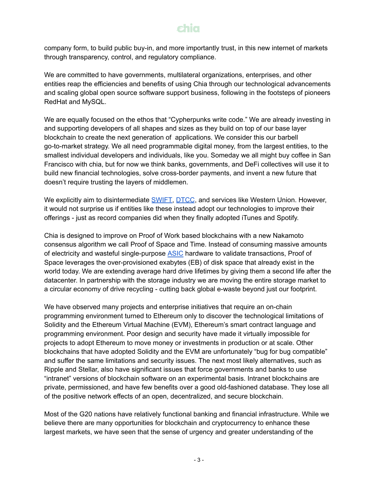company form, to build public buy-in, and more importantly trust, in this new internet of markets through transparency, control, and regulatory compliance.

We are committed to have governments, multilateral organizations, enterprises, and other entities reap the efficiencies and benefits of using Chia through our technological advancements and scaling global open source software support business, following in the footsteps of pioneers RedHat and MySQL.

We are equally focused on the ethos that "Cypherpunks write code." We are already investing in and supporting developers of all shapes and sizes as they build on top of our base layer blockchain to create the next generation of applications. We consider this our barbell go-to-market strategy. We all need programmable digital money, from the largest entities, to the smallest individual developers and individuals, like you. Someday we all might buy coffee in San Francisco with chia, but for now we think banks, governments, and DeFi collectives will use it to build new financial technologies, solve cross-border payments, and invent a new future that doesn't require trusting the layers of middlemen.

We explicitly aim to disintermediate **[SWIFT,](https://www.swift.com/) [DTCC](https://www.dtcc.com/)**, and services like Western Union. However, it would not surprise us if entities like these instead adopt our technologies to improve their offerings - just as record companies did when they finally adopted iTunes and Spotify.

Chia is designed to improve on Proof of Work based blockchains with a new Nakamoto consensus algorithm we call Proof of Space and Time. Instead of consuming massive amounts of electricity and wasteful single-purpose [ASIC](https://en.wikipedia.org/wiki/Application-specific_integrated_circuit) hardware to validate transactions, Proof of Space leverages the over-provisioned exabytes (EB) of disk space that already exist in the world today. We are extending average hard drive lifetimes by giving them a second life after the datacenter. In partnership with the storage industry we are moving the entire storage market to a circular economy of drive recycling - cutting back global e-waste beyond just our footprint.

We have observed many projects and enterprise initiatives that require an on-chain programming environment turned to Ethereum only to discover the technological limitations of Solidity and the Ethereum Virtual Machine (EVM), Ethereum's smart contract language and programming environment. Poor design and security have made it virtually impossible for projects to adopt Ethereum to move money or investments in production or at scale. Other blockchains that have adopted Solidity and the EVM are unfortunately "bug for bug compatible" and suffer the same limitations and security issues. The next most likely alternatives, such as Ripple and Stellar, also have significant issues that force governments and banks to use "intranet" versions of blockchain software on an experimental basis. Intranet blockchains are private, permissioned, and have few benefits over a good old-fashioned database. They lose all of the positive network effects of an open, decentralized, and secure blockchain.

Most of the G20 nations have relatively functional banking and financial infrastructure. While we believe there are many opportunities for blockchain and cryptocurrency to enhance these largest markets, we have seen that the sense of urgency and greater understanding of the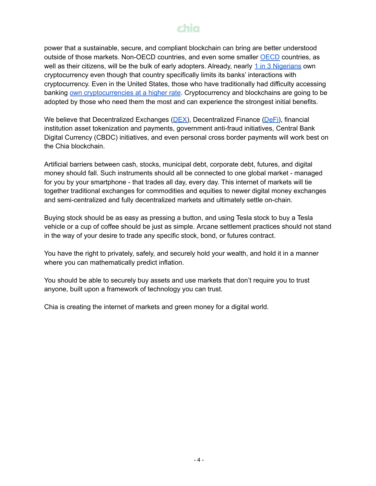power that a sustainable, secure, and compliant blockchain can bring are better understood outside of those markets. Non-[OECD](https://www.oecd.org/) countries, and even some smaller OECD countries, as well as their citizens, will be the bulk of early adopters. Already, nearly 1 in 3 [Nigerians](https://www.statista.com/statistics/1202468/global-cryptocurrency-ownership/) own cryptocurrency even though that country specifically limits its banks' interactions with cryptocurrency. Even in the United States, those who have traditionally had difficulty accessing banking own [cryptocurrencies](https://www.pewresearch.org/fact-tank/2021/11/11/16-of-americans-say-they-have-ever-invested-in-traded-or-used-cryptocurrency/) at a higher rate. Cryptocurrency and blockchains are going to be adopted by those who need them the most and can experience the strongest initial benefits.

We believe that Decentralized Exchanges ( $DEX$ ), Decentralized Finance ( $DeFi$ ), financial institution asset tokenization and payments, government anti-fraud initiatives, Central Bank Digital Currency (CBDC) initiatives, and even personal cross border payments will work best on the Chia blockchain.

Artificial barriers between cash, stocks, municipal debt, corporate debt, futures, and digital money should fall. Such instruments should all be connected to one global market - managed for you by your smartphone - that trades all day, every day. This internet of markets will tie together traditional exchanges for commodities and equities to newer digital money exchanges and semi-centralized and fully decentralized markets and ultimately settle on-chain.

Buying stock should be as easy as pressing a button, and using Tesla stock to buy a Tesla vehicle or a cup of coffee should be just as simple. Arcane settlement practices should not stand in the way of your desire to trade any specific stock, bond, or futures contract.

You have the right to privately, safely, and securely hold your wealth, and hold it in a manner where you can mathematically predict inflation.

You should be able to securely buy assets and use markets that don't require you to trust anyone, built upon a framework of technology you can trust.

Chia is creating the internet of markets and green money for a digital world.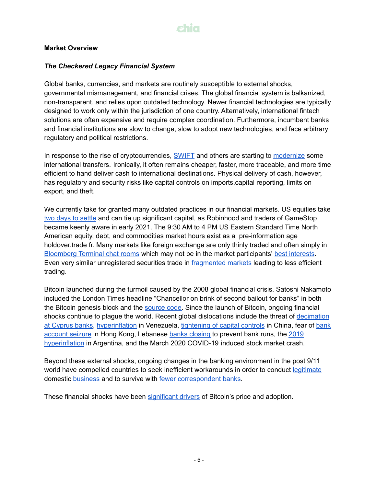#### **Market Overview**

#### *The Checkered Legacy Financial System*

Global banks, currencies, and markets are routinely susceptible to external shocks, governmental mismanagement, and financial crises. The global financial system is balkanized, non-transparent, and relies upon outdated technology. Newer financial technologies are typically designed to work only within the jurisdiction of one country. Alternatively, international fintech solutions are often expensive and require complex coordination. Furthermore, incumbent banks and financial institutions are slow to change, slow to adopt new technologies, and face arbitrary regulatory and political restrictions.

In response to the rise of cryptocurrencies, [SWIFT](https://www.swift.com/) and others are starting to [modernize](https://www.aier.org/article/the-blockchain-threat-has-drastically-sped-up-cross-border-payments/) some international transfers. Ironically, it often remains cheaper, faster, more traceable, and more time efficient to hand deliver cash to international destinations. Physical delivery of cash, however, has regulatory and security risks like capital controls on imports,capital reporting, limits on export, and theft.

We currently take for granted many outdated practices in our financial markets. US equities take two days to [settle](https://www.rollcall.com/2021/07/20/gamestop-case-pushes-securities-market-toward-faster-settlement/) and can tie up significant capital, as Robinhood and traders of GameStop became keenly aware in early 2021. The 9:30 AM to 4 PM US Eastern Standard Time North American equity, debt, and commodities market hours exist as a pre-information age holdover.trade fr. Many markets like foreign exchange are only thinly traded and often simply in [Bloomberg](https://www.bloomberg.com/opinion/articles/2018-05-02/goldman-fx-trader-was-loyal-to-his-chat-room) Terminal chat rooms which may not be in the market participants' best [interests](https://www.bloomberg.com/opinion/articles/2014-11-12/banks-manipulated-foreign-exchange-in-ways-you-can-t-teach). Even very similar unregistered securities trade in [fragmented](https://www.philadelphiafed.org/-/media/frbp/assets/working-papers/2021/wp21-25.pdf) markets leading to less efficient trading.

Bitcoin launched during the turmoil caused by the 2008 global financial crisis. Satoshi Nakamoto included the London Times headline "Chancellor on brink of second bailout for banks" in both the Bitcoin genesis block and the [source](https://thenextweb.com/hardfork/2018/10/12/bitcoin-easter-egg/) code. Since the launch of Bitcoin, ongoing financial shocks continue to plague the world. Recent global dislocations include the threat of [decimation](https://abcnews.go.com/Business/cyprus-crisis-explained-idiot/story?id=18782212) at [Cyprus](https://abcnews.go.com/Business/cyprus-crisis-explained-idiot/story?id=18782212) banks, [hyperinflation](https://www.forbes.com/sites/stevehanke/2019/11/13/venezuelas-hyperinflation-drags-on-for-a-near-record36-months/#267f08966b7b) in Venezuela, [tightening](https://www.scmp.com/economy/china-economy/article/3012312/chinas-capital-outflow-controls-have-gone-extreme-former) of capital controls in China, fear of [bank](http://blockpitch.org/2019/10/07/people-in-hong-kong-are-using-bitcoin-to-avoid-asset-freeze/) [account](http://blockpitch.org/2019/10/07/people-in-hong-kong-are-using-bitcoin-to-avoid-asset-freeze/) seizure in Hong Kong, Lebanese banks [closing](https://www.reuters.com/article/us-lebanon-protests/in-limbo-as-crisis-rages-lebanese-banks-remain-shut-idUSKBN1X10XL) to prevent bank runs, the [2019](https://www.reuters.com/article/us-argentina-inflation/argentina-2019-inflation-was-53-8-highest-in-28-years-idUSKBN1ZE2P0) [hyperinflation](https://www.reuters.com/article/us-argentina-inflation/argentina-2019-inflation-was-53-8-highest-in-28-years-idUSKBN1ZE2P0) in Argentina, and the March 2020 COVID-19 induced stock market crash.

Beyond these external shocks, ongoing changes in the banking environment in the post 9/11 world have compelled countries to seek inefficient workarounds in order to conduct [legitimate](https://www.nbcnews.com/politics/national-security/how-europe-plans-skirt-trump-s-sanctions-keep-doing-business-n906161) domestic [business](https://ecfr.eu/publication/meeting_the_challenge_of_secondary_sanctions/) and to survive with fewer [correspondent](https://www.euromoney.com/article/b12kpskptfpzzb/the-looming-crisis-in-correspondent-banking) banks.

These financial shocks have been [significant](https://pdfs.semanticscholar.org/5e5b/9b39ceb7e184eb579e7cd7b603f0c99ed34e.pdf) drivers of Bitcoin's price and adoption.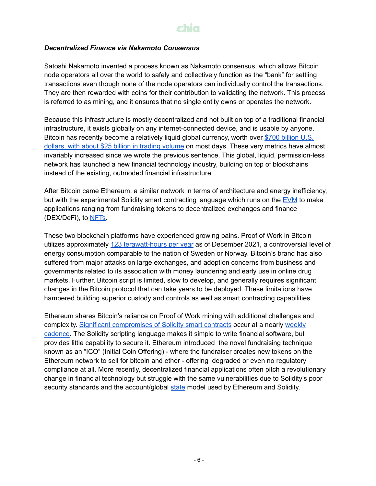## shia

#### *Decentralized Finance via Nakamoto Consensus*

Satoshi Nakamoto invented a process known as Nakamoto consensus, which allows Bitcoin node operators all over the world to safely and collectively function as the "bank" for settling transactions even though none of the node operators can individually control the transactions. They are then rewarded with coins for their contribution to validating the network. This process is referred to as mining, and it ensures that no single entity owns or operates the network.

Because this infrastructure is mostly decentralized and not built on top of a traditional financial infrastructure, it exists globally on any internet-connected device, and is usable by anyone. Bitcoin has recently become a relatively liquid global currency, worth over \$700 [billion](https://coinmarketcap.com/currencies/bitcoin/) U.S. dollars, with about \$25 billion in trading [volume](https://coinmarketcap.com/currencies/bitcoin/) on most days. These very metrics have almost invariably increased since we wrote the previous sentence. This global, liquid, permission-less network has launched a new financial technology industry, building on top of blockchains instead of the existing, outmoded financial infrastructure.

After Bitcoin came Ethereum, a similar network in terms of architecture and energy inefficiency, but with the experimental Solidity smart contracting language which runs on the [EVM](https://ethereum.org/en/developers/docs/evm/) to make applications ranging from fundraising tokens to decentralized exchanges and finance (DEX/DeFi), to [NFTs](https://www.theverge.com/22310188/nft-explainer-what-is-blockchain-crypto-art-faq).

These two blockchain platforms have experienced growing pains. Proof of Work in Bitcoin utilizes approximately 123 [terawatt-hours](https://cbeci.org/) per year as of December 2021, a controversial level of energy consumption comparable to the nation of Sweden or Norway. Bitcoin's brand has also suffered from major attacks on large exchanges, and adoption concerns from business and governments related to its association with money laundering and early use in online drug markets. Further, Bitcoin script is limited, slow to develop, and generally requires significant changes in the Bitcoin protocol that can take years to be deployed. These limitations have hampered building superior custody and controls as well as smart contracting capabilities.

Ethereum shares Bitcoin's reliance on Proof of Work mining with additional challenges and complexity. Significant [compromises](https://blog.sigmaprime.io/solidity-security.html) of Solidity smart contracts occur at a nearly [weekly](https://rekt.news/) [cadence.](https://rekt.news/) The Solidity scripting language makes it simple to write financial software, but provides little capability to secure it. Ethereum introduced the novel fundraising technique known as an "ICO" (Initial Coin Offering) - where the fundraiser creates new tokens on the Ethereum network to sell for bitcoin and ether - offering degraded or even no regulatory compliance at all. More recently, decentralized financial applications often pitch a revolutionary change in financial technology but struggle with the same vulnerabilities due to Solidity's poor security standards and the account/global [state](https://en.wikipedia.org/wiki/State_(computer_science)) model used by Ethereum and Solidity.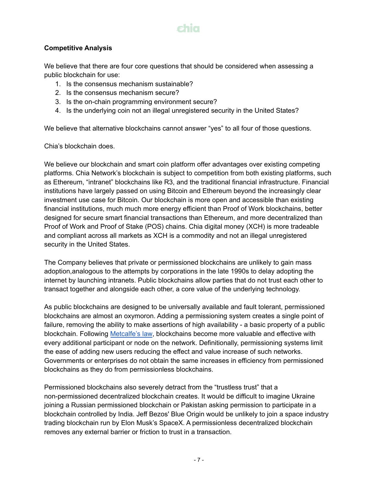## shiq

#### **Competitive Analysis**

We believe that there are four core questions that should be considered when assessing a public blockchain for use:

- 1. Is the consensus mechanism sustainable?
- 2. Is the consensus mechanism secure?
- 3. Is the on-chain programming environment secure?
- 4. Is the underlying coin not an illegal unregistered security in the United States?

We believe that alternative blockchains cannot answer "yes" to all four of those questions.

Chia's blockchain does.

We believe our blockchain and smart coin platform offer advantages over existing competing platforms. Chia Network's blockchain is subject to competition from both existing platforms, such as Ethereum, "intranet" blockchains like R3, and the traditional financial infrastructure. Financial institutions have largely passed on using Bitcoin and Ethereum beyond the increasingly clear investment use case for Bitcoin. Our blockchain is more open and accessible than existing financial institutions, much much more energy efficient than Proof of Work blockchains, better designed for secure smart financial transactions than Ethereum, and more decentralized than Proof of Work and Proof of Stake (POS) chains. Chia digital money (XCH) is more tradeable and compliant across all markets as XCH is a commodity and not an illegal unregistered security in the United States.

The Company believes that private or permissioned blockchains are unlikely to gain mass adoption,analogous to the attempts by corporations in the late 1990s to delay adopting the internet by launching intranets. Public blockchains allow parties that do not trust each other to transact together and alongside each other, a core value of the underlying technology.

As public blockchains are designed to be universally available and fault tolerant, permissioned blockchains are almost an oxymoron. Adding a permissioning system creates a single point of failure, removing the ability to make assertions of high availability - a basic property of a public blockchain. Following [Metcalfe's](https://en.wikipedia.org/wiki/Metcalfe%27s_law) law, blockchains become more valuable and effective with every additional participant or node on the network. Definitionally, permissioning systems limit the ease of adding new users reducing the effect and value increase of such networks. Governments or enterprises do not obtain the same increases in efficiency from permissioned blockchains as they do from permissionless blockchains.

Permissioned blockchains also severely detract from the "trustless trust" that a non-permissioned decentralized blockchain creates. It would be difficult to imagine Ukraine joining a Russian permissioned blockchain or Pakistan asking permission to participate in a blockchain controlled by India. Jeff Bezos' Blue Origin would be unlikely to join a space industry trading blockchain run by Elon Musk's SpaceX. A permissionless decentralized blockchain removes any external barrier or friction to trust in a transaction.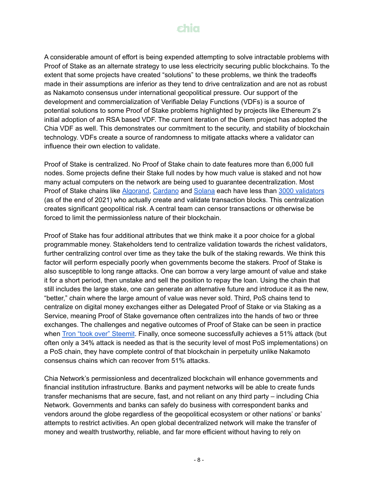

A considerable amount of effort is being expended attempting to solve intractable problems with Proof of Stake as an alternate strategy to use less electricity securing public blockchains. To the extent that some projects have created "solutions" to these problems, we think the tradeoffs made in their assumptions are inferior as they tend to drive centralization and are not as robust as Nakamoto consensus under international geopolitical pressure. Our support of the development and commercialization of Verifiable Delay Functions (VDFs) is a source of potential solutions to some Proof of Stake problems highlighted by projects like Ethereum 2's initial adoption of an RSA based VDF. The current iteration of the Diem project has adopted the Chia VDF as well. This demonstrates our commitment to the security, and stability of blockchain technology. VDFs create a source of randomness to mitigate attacks where a validator can influence their own election to validate.

Proof of Stake is centralized. No Proof of Stake chain to date features more than 6,000 full nodes. Some projects define their Stake full nodes by how much value is staked and not how many actual computers on the network are being used to guarantee decentralization. Most Proof of Stake chains like [Algorand](https://metrics.algorand.org/), [Cardano](https://pooltool.io/) and [Solana](https://solanabeach.io/validators) each have less than 3000 [validators](https://solana.com/validators) (as of the end of 2021) who actually create and validate transaction blocks. This centralization creates significant geopolitical risk. A central team can censor transactions or otherwise be forced to limit the permissionless nature of their blockchain.

Proof of Stake has four additional attributes that we think make it a poor choice for a global programmable money. Stakeholders tend to centralize validation towards the richest validators, further centralizing control over time as they take the bulk of the staking rewards. We think this factor will perform especially poorly when governments become the stakers. Proof of Stake is also susceptible to long range attacks. One can borrow a very large amount of value and stake it for a short period, then unstake and sell the position to repay the loan. Using the chain that still includes the large stake, one can generate an alternative future and introduce it as the new, "better," chain where the large amount of value was never sold. Third, PoS chains tend to centralize on digital money exchanges either as Delegated Proof of Stake or via Staking as a Service, meaning Proof of Stake governance often centralizes into the hands of two or three exchanges. The challenges and negative outcomes of Proof of Stake can be seen in practice when Tron "took over" [Steemit](https://news.bitcoin.com/trons-steemit-acquisition/). Finally, once someone successfully achieves a 51% attack (but often only a 34% attack is needed as that is the security level of most PoS implementations) on a PoS chain, they have complete control of that blockchain in perpetuity unlike Nakamoto consensus chains which can recover from 51% attacks.

Chia Network's permissionless and decentralized blockchain will enhance governments and financial institution infrastructure. Banks and payment networks will be able to create funds transfer mechanisms that are secure, fast, and not reliant on any third party – including Chia Network. Governments and banks can safely do business with correspondent banks and vendors around the globe regardless of the geopolitical ecosystem or other nations' or banks' attempts to restrict activities. An open global decentralized network will make the transfer of money and wealth trustworthy, reliable, and far more efficient without having to rely on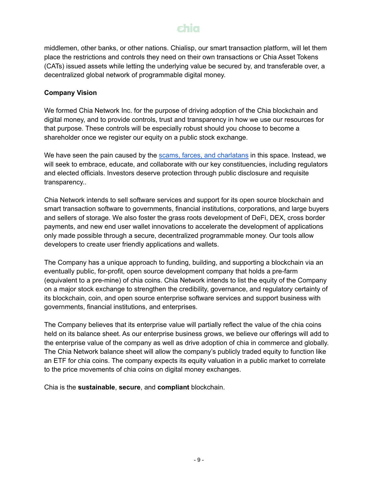middlemen, other banks, or other nations. Chialisp, our smart transaction platform, will let them place the restrictions and controls they need on their own transactions or Chia Asset Tokens (CATs) issued assets while letting the underlying value be secured by, and transferable over, a decentralized global network of programmable digital money.

#### **Company Vision**

We formed Chia Network Inc. for the purpose of driving adoption of the Chia blockchain and digital money, and to provide controls, trust and transparency in how we use our resources for that purpose. These controls will be especially robust should you choose to become a shareholder once we register our equity on a public stock exchange.

We have seen the pain caused by the scams, farces, and [charlatans](https://finance.yahoo.com/news/data-crypto-scams-hacks-made-off-with-billions-in-2021-133417507.html) in this space. Instead, we will seek to embrace, educate, and collaborate with our key constituencies, including regulators and elected officials. Investors deserve protection through public disclosure and requisite transparency..

Chia Network intends to sell software services and support for its open source blockchain and smart transaction software to governments, financial institutions, corporations, and large buyers and sellers of storage. We also foster the grass roots development of DeFi, DEX, cross border payments, and new end user wallet innovations to accelerate the development of applications only made possible through a secure, decentralized programmable money. Our tools allow developers to create user friendly applications and wallets.

The Company has a unique approach to funding, building, and supporting a blockchain via an eventually public, for-profit, open source development company that holds a pre-farm (equivalent to a pre-mine) of chia coins. Chia Network intends to list the equity of the Company on a major stock exchange to strengthen the credibility, governance, and regulatory certainty of its blockchain, coin, and open source enterprise software services and support business with governments, financial institutions, and enterprises.

The Company believes that its enterprise value will partially reflect the value of the chia coins held on its balance sheet. As our enterprise business grows, we believe our offerings will add to the enterprise value of the company as well as drive adoption of chia in commerce and globally. The Chia Network balance sheet will allow the company's publicly traded equity to function like an ETF for chia coins. The company expects its equity valuation in a public market to correlate to the price movements of chia coins on digital money exchanges.

Chia is the **sustainable**, **secure**, and **compliant** blockchain.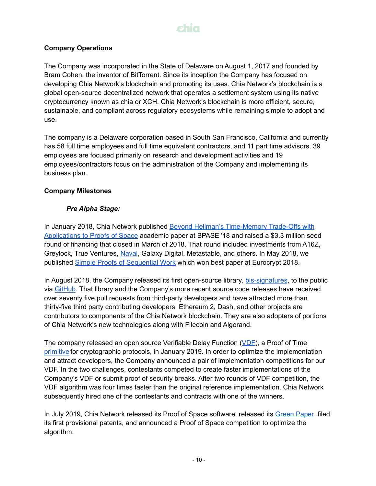#### **Company Operations**

The Company was incorporated in the State of Delaware on August 1, 2017 and founded by Bram Cohen, the inventor of BitTorrent. Since its inception the Company has focused on developing Chia Network's blockchain and promoting its uses. Chia Network's blockchain is a global open-source decentralized network that operates a settlement system using its native cryptocurrency known as chia or XCH. Chia Network's blockchain is more efficient, secure, sustainable, and compliant across regulatory ecosystems while remaining simple to adopt and use.

The company is a Delaware corporation based in South San Francisco, California and currently has 58 full time employees and full time equivalent contractors, and 11 part time advisors. 39 employees are focused primarily on research and development activities and 19 employees/contractors focus on the administration of the Company and implementing its business plan.

### **Company Milestones**

### *Pre Alpha Stage:*

In January 2018, Chia Network published Beyond Hellman's [Time-Memory](https://eprint.iacr.org/2017/893.pdf) Trade-Offs with [Applications](https://eprint.iacr.org/2017/893.pdf) to Proofs of Space academic paper at BPASE '18 and raised a \$3.3 million seed round of financing that closed in March of 2018. That round included investments from A16Z, Greylock, True Ventures, [Naval](https://twitter.com/naval), Galaxy Digital, Metastable, and others. In May 2018, we published Simple Proofs of [Sequential](https://eprint.iacr.org/2018/183.pdf) Work which won best paper at Eurocrypt 2018.

In August 2018, the Company released its first open-source library, [bls-signatures](https://github.com/Chia-Network/bls-signatures), to the public via [GitHub](https://github.com/Chia-Network). That library and the Company's more recent source code releases have received over seventy five pull requests from third-party developers and have attracted more than thirty-five third party contributing developers. Ethereum 2, Dash, and other projects are contributors to components of the Chia Network blockchain. They are also adopters of portions of Chia Network's new technologies along with Filecoin and Algorand.

The company released an open source Verifiable Delay Function [\(VDF\)](https://eprint.iacr.org/2018/601.pdf), a Proof of Time [primitive](https://en.wikipedia.org/wiki/Cryptographic_primitive) for cryptographic protocols, in January 2019. In order to optimize the implementation and attract developers, the Company announced a pair of implementation competitions for our VDF. In the two challenges, contestants competed to create faster implementations of the Company's VDF or submit proof of security breaks. After two rounds of VDF competition, the VDF algorithm was four times faster than the original reference implementation. Chia Network subsequently hired one of the contestants and contracts with one of the winners.

In July 2019, Chia Network released its Proof of Space software, released its [Green](https://www.chia.net/assets/ChiaGreenPaper.pdf) Paper, filed its first provisional patents, and announced a Proof of Space competition to optimize the algorithm.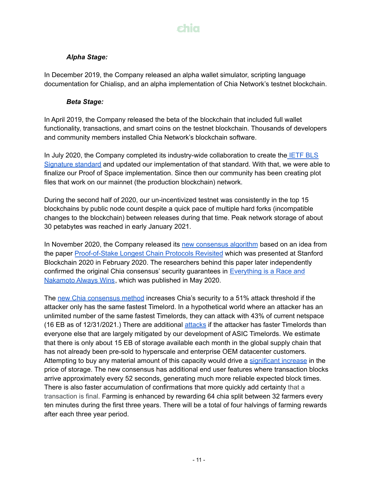## shia

#### *Alpha Stage:*

In December 2019, the Company released an alpha wallet simulator, scripting language documentation for Chialisp, and an alpha implementation of Chia Network's testnet blockchain.

#### *Beta Stage:*

In April 2019, the Company released the beta of the blockchain that included full wallet functionality, transactions, and smart coins on the testnet blockchain. Thousands of developers and community members installed Chia Network's blockchain software.

In July 2020, the Company completed its industry-wide collaboration to create the [IETF](https://datatracker.ietf.org/doc/draft-irtf-cfrg-bls-signature/) BLS [Signature](https://datatracker.ietf.org/doc/draft-irtf-cfrg-bls-signature/) standard and updated our implementation of that standard. With that, we were able to finalize our Proof of Space implementation. Since then our community has been creating plot files that work on our mainnet (the production blockchain) network.

During the second half of 2020, our un-incentivized testnet was consistently in the top 15 blockchains by public node count despite a quick pace of multiple hard forks (incompatible changes to the blockchain) between releases during that time. Peak network storage of about 30 petabytes was reached in early January 2021.

In November 2020, the Company released its new [consensus](https://docs.chia.net/docs/03consensus/consensus_intro) algorithm based on an idea from the paper [Proof-of-Stake](https://arxiv.org/abs/1910.02218) Longest Chain Protocols Revisited which was presented at Stanford Blockchain 2020 in February 2020. The researchers behind this paper later independently confirmed the original Chia consensus' security guarantees in [Everything](https://arxiv.org/abs/2005.10484) is a Race and [Nakamoto](https://arxiv.org/abs/2005.10484) Always Wins, which was published in May 2020.

The new Chia [consensus](https://docs.chia.net/docs/03consensus/consensus_intro) method increases Chia's security to a 51% attack threshold if the attacker only has the same fastest Timelord. In a hypothetical world where an attacker has an unlimited number of the same fastest Timelords, they can attack with 43% of current netspace (16 EB as of 12/31/2021.) There are additional [attacks](https://docs.chia.net/docs/03consensus/attacks_and_countermeasures) if the attacker has faster Timelords than everyone else that are largely mitigated by our development of ASIC Timelords. We estimate that there is only about 15 EB of storage available each month in the global supply chain that has not already been pre-sold to hyperscale and enterprise OEM datacenter customers. Attempting to buy any material amount of this capacity would drive a [significant](https://www.fool.com/earnings/call-transcripts/2021/08/04/western-digital-wdc-q4-2021-earnings-call-transcri/) increase in the price of storage. The new consensus has additional end user features where transaction blocks arrive approximately every 52 seconds, generating much more reliable expected block times. There is also faster accumulation of confirmations that more quickly add certainty that a transaction is final. Farming is enhanced by rewarding 64 chia split between 32 farmers every ten minutes during the first three years. There will be a total of four halvings of farming rewards after each three year period.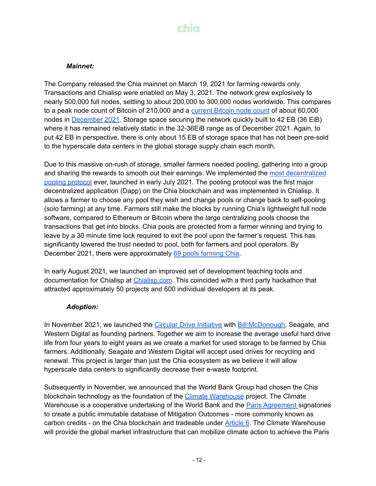

#### *Mainnet:*

The Company released the Chia mainnet on March 19, 2021 for farming rewards only. Transactions and Chialisp were enabled on May 3, 2021. The network grew explosively to nearly 500,000 full nodes, settling to about 200,000 to 300,000 nodes worldwide. This compares to a peak node count of Bitcoin of 210,000 and a [current](https://luke.dashjr.org/programs/bitcoin/files/charts/historical.html) Bitcoin node count of about 60,000 nodes in [December](https://www.ifca.ai/fc22/preproceedings/114.pdf) 2021. Storage space securing the network quickly built to 42 EB (36 EiB) where it has remained relatively static in the 32-36EiB range as of December 2021. Again, to put 42 EB in perspective, there is only about 15 EB of storage space that has not been pre-sold to the hyperscale data centers in the global storage supply chain each month.

Due to this massive on-rush of storage, smaller farmers needed pooling, gathering into a group and sharing the rewards to smooth out their earnings. We implemented the most [decentralized](https://www.chia.net/2021/07/07/official-pooling-launched.en.html) pooling [protocol](https://www.chia.net/2021/07/07/official-pooling-launched.en.html) ever, launched in early July 2021. The pooling protocol was the first major decentralized application (Dapp) on the Chia blockchain and was implemented in Chialisp. It allows a farmer to choose any pool they wish and change pools or change back to self-pooling (solo farming) at any time. Farmers still make the blocks by running Chia's lightweight full node software, compared to Ethereum or Bitcoin where the large centralizing pools choose the transactions that get into blocks. Chia pools are protected from a farmer winning and trying to leave by a 30 minute time lock required to exit the pool upon the farmer's request. This has significantly lowered the trust needed to pool, both for farmers and pool operators. By December 2021, there were approximately 69 pools [farming](https://miningpoolstats.stream/chia) Chia.

In early August 2021, we launched an improved set of development teaching tools and documentation for Chialisp at [Chialisp.com](https://chialisp.com/). This coincided with a third party hackathon that attracted approximately 50 projects and 600 individual developers at its peak.

#### *Adoption:*

In November 2021, we launched the Circular Drive [Initiative](https://circulardrives.org/) with Bill [McDonough](https://mcdonough.com/), Seagate, and Western Digital as founding partners. Together we aim to increase the average useful hard drive life from four years to eight years as we create a market for used storage to be farmed by Chia farmers. Additionally, Seagate and Western Digital will accept used drives for recycling and renewal. This project is larger than just the Chia ecosystem as we believe it will allow hyperscale data centers to significantly decrease their e-waste footprint.

Subsequently in November, we announced that the World Bank Group had chosen the Chia blockchain technology as the foundation of the Climate [Warehouse](https://www.worldbank.org/en/programs/climate-warehouse/overview) project. The Climate Warehouse is a cooperative undertaking of the World Bank and the Paris [Agreement](https://unfccc.int/process-and-meetings/the-paris-agreement/the-paris-agreement) signatories to create a public immutable database of Mitigation Outcomes - more commonly known as carbon credits - on the Chia blockchain and tradeable under [Article](https://www.iisd.org/articles/paris-agreement-article-6-rules) 6. The Climate Warehouse will provide the global market infrastructure that can mobilize climate action to achieve the Paris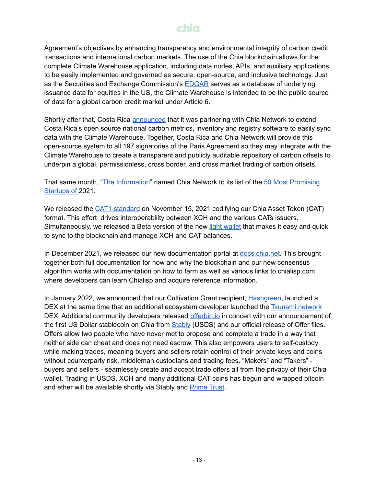Agreement's objectives by enhancing transparency and environmental integrity of carbon credit transactions and international carbon markets. The use of the Chia blockchain allows for the complete Climate Warehouse application, including data nodes, APIs, and auxiliary applications to be easily implemented and governed as secure, open-source, and inclusive technology. Just as the Securities and Exchange Commission's **[EDGAR](https://www.sec.gov/edgar/search-and-access)** serves as a database of underlying issuance data for equities in the US, the Climate Warehouse is intended to be the public source of data for a global carbon credit market under Article 6.

Shortly after that, Costa Rica [announced](https://www.businesswire.com/news/home/20211111005809/en/Costa-Rica-and-Chia-Announce-Partnership-to-Support-Climate-and-Government-Initiatives) that it was partnering with Chia Network to extend Costa Rica's open source national carbon metrics, inventory and registry software to easily sync data with the Climate Warehouse. Together, Costa Rica and Chia Network will provide this open-source system to all 197 signatories of the Paris Agreement so they may integrate with the Climate Warehouse to create a transparent and publicly auditable repository of carbon offsets to underpin a global, permissionless, cross border, and cross market trading of carbon offsets.

That same month, "The [Information](https://www.theinformation.com/)" named Chia Network to its list of the 50 Most [Promising](https://twitter.com/theinformation/status/1458472030525747203) [Startups](https://twitter.com/theinformation/status/1458472030525747203) of 2021.

We released the CAT1 [standard](https://www.chia.net/2021/11/15/the-CATs-out-of-the-bag.en.html) on November 15, 2021 codifying our Chia Asset Token (CAT) format. This effort drives interoperability between XCH and the various CATs issuers. Simultaneously, we released a Beta version of the new light [wallet](https://docs.chia.net/docs/03consensus/light_clients) that makes it easy and quick to sync to the blockchain and manage XCH and CAT balances.

In December 2021, we released our new documentation portal at [docs.chia.net.](https://docs.chia.net/) This brought together both full documentation for how and why the blockchain and our new consensus algorithm works with documentation on how to farm as well as various links to chialisp.com where developers can learn Chialisp and acquire reference information.

In January 2022, we announced that our Cultivation Grant recipient, [Hashgreen](https://www.hashgreen.net/), launched a DEX at the same time that an additional ecosystem developer launched the [Tsunami.network](https://tsunami.network/) DEX. Additional community developers released *[offerbin.io](https://offerbin.io/)* in concert with our announcement of the first US Dollar stablecoin on Chia from [Stably](https://www.stably.io/stably-prime/) (USDS) and our official release of Offer files. Offers allow two people who have never met to propose and complete a trade in a way that neither side can cheat and does not need escrow. This also empowers users to self-custody while making trades, meaning buyers and sellers retain control of their private keys and coins without counterparty risk, middleman custodians and trading fees. "Makers" and "Takers" buyers and sellers - seamlessly create and accept trade offers all from the privacy of their Chia wallet. Trading in USDS, XCH and many additional CAT coins has begun and wrapped bitcoin and ether will be available shortly via Stably and [Prime](https://www.primetrust.com/) Trust.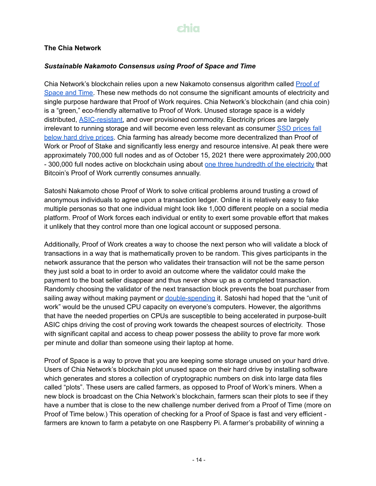#### **The Chia Network**

#### *Sustainable Nakamoto Consensus using Proof of Space and Time*

Chia Network's blockchain relies upon a new Nakamoto consensus algorithm called [Proof](https://docs.chia.net/docs/03consensus/consensus_intro) of [Space](https://docs.chia.net/docs/03consensus/consensus_intro) and Time. These new methods do not consume the significant amounts of electricity and single purpose hardware that Proof of Work requires. Chia Network's blockchain (and chia coin) is a "green," eco-friendly alternative to Proof of Work. Unused storage space is a widely distributed, [ASIC-resistant,](https://medium.com/the-capital/the-big-controversy-what-is-asic-resistance-a8fcc2ffd580) and over provisioned commodity. Electricity prices are largely irrelevant to running storage and will become even less relevant as consumer SSD [prices](https://wikibon.com/qlc-flash-hamrs-hdd/) fall below hard drive [prices](https://wikibon.com/qlc-flash-hamrs-hdd/). Chia farming has already become more decentralized than Proof of Work or Proof of Stake and significantly less energy and resource intensive. At peak there were approximately 700,000 full nodes and as of October 15, 2021 there were approximately 200,000 - 300,000 full nodes active on blockchain using about one three [hundredth](https://chiapower.org/) of the electricity that Bitcoin's Proof of Work currently consumes annually.

Satoshi Nakamoto chose Proof of Work to solve critical problems around trusting a crowd of anonymous individuals to agree upon a transaction ledger. Online it is relatively easy to fake multiple personas so that one individual might look like 1,000 different people on a social media platform. Proof of Work forces each individual or entity to exert some provable effort that makes it unlikely that they control more than one logical account or supposed persona.

Additionally, Proof of Work creates a way to choose the next person who will validate a block of transactions in a way that is mathematically proven to be random. This gives participants in the network assurance that the person who validates their transaction will not be the same person they just sold a boat to in order to avoid an outcome where the validator could make the payment to the boat seller disappear and thus never show up as a completed transaction. Randomly choosing the validator of the next transaction block prevents the boat purchaser from sailing away without making payment or [double-spending](https://www.investopedia.com/terms/d/doublespending.asp) it. Satoshi had hoped that the "unit of work" would be the unused CPU capacity on everyone's computers. However, the algorithms that have the needed properties on CPUs are susceptible to being accelerated in purpose-built ASIC chips driving the cost of proving work towards the cheapest sources of electricity. Those with significant capital and access to cheap power possess the ability to prove far more work per minute and dollar than someone using their laptop at home.

Proof of Space is a way to prove that you are keeping some storage unused on your hard drive. Users of Chia Network's blockchain plot unused space on their hard drive by installing software which generates and stores a collection of cryptographic numbers on disk into large data files called "plots". These users are called farmers, as opposed to Proof of Work's miners. When a new block is broadcast on the Chia Network's blockchain, farmers scan their plots to see if they have a number that is close to the new challenge number derived from a Proof of Time (more on Proof of Time below.) This operation of checking for a Proof of Space is fast and very efficient farmers are known to farm a petabyte on one Raspberry Pi. A farmer's probability of winning a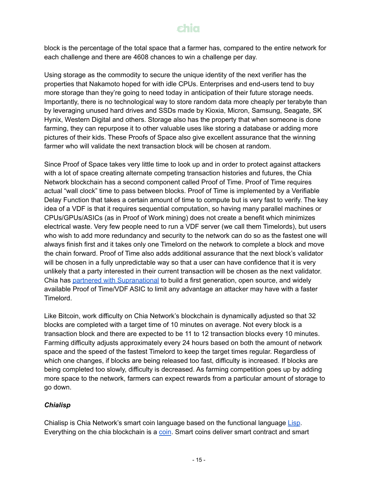block is the percentage of the total space that a farmer has, compared to the entire network for each challenge and there are 4608 chances to win a challenge per day.

Using storage as the commodity to secure the unique identity of the next verifier has the properties that Nakamoto hoped for with idle CPUs. Enterprises and end-users tend to buy more storage than they're going to need today in anticipation of their future storage needs. Importantly, there is no technological way to store random data more cheaply per terabyte than by leveraging unused hard drives and SSDs made by Kioxia, Micron, Samsung, Seagate, SK Hynix, Western Digital and others. Storage also has the property that when someone is done farming, they can repurpose it to other valuable uses like storing a database or adding more pictures of their kids. These Proofs of Space also give excellent assurance that the winning farmer who will validate the next transaction block will be chosen at random.

Since Proof of Space takes very little time to look up and in order to protect against attackers with a lot of space creating alternate competing transaction histories and futures, the Chia Network blockchain has a second component called Proof of Time. Proof of Time requires actual "wall clock" time to pass between blocks. Proof of Time is implemented by a Verifiable Delay Function that takes a certain amount of time to compute but is very fast to verify. The key idea of a VDF is that it requires sequential computation, so having many parallel machines or CPUs/GPUs/ASICs (as in Proof of Work mining) does not create a benefit which minimizes electrical waste. Very few people need to run a VDF server (we call them Timelords), but users who wish to add more redundancy and security to the network can do so as the fastest one will always finish first and it takes only one Timelord on the network to complete a block and move the chain forward. Proof of Time also adds additional assurance that the next block's validator will be chosen in a fully unpredictable way so that a user can have confidence that it is very unlikely that a party interested in their current transaction will be chosen as the next validator. Chia has partnered with [Supranational](https://www.businesswire.com/news/home/20211013005324/en/Chia-Partners-With-Supranational-to-Create-Industry-Leading-Proof-of-Space-Time-Security) to build a first generation, open source, and widely available Proof of Time/VDF ASIC to limit any advantage an attacker may have with a faster Timelord.

Like Bitcoin, work difficulty on Chia Network's blockchain is dynamically adjusted so that 32 blocks are completed with a target time of 10 minutes on average. Not every block is a transaction block and there are expected to be 11 to 12 transaction blocks every 10 minutes. Farming difficulty adjusts approximately every 24 hours based on both the amount of network space and the speed of the fastest Timelord to keep the target times regular. Regardless of which one changes, if blocks are being released too fast, difficulty is increased. If blocks are being completed too slowly, difficulty is decreased. As farming competition goes up by adding more space to the network, farmers can expect rewards from a particular amount of storage to go down.

### *Chialisp*

Chialisp is Chia Network's smart coin language based on the functional language [Lisp](https://en.wikipedia.org/wiki/Lisp_(programming_language)). Everything on the chia blockchain is a [coin](https://chialisp.com/docs/coins_spends_and_wallets#coins). Smart coins deliver smart contract and smart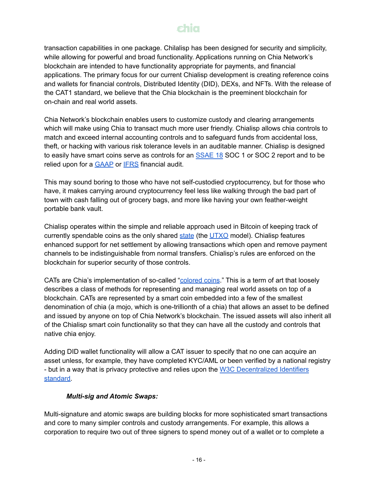transaction capabilities in one package. Chilalisp has been designed for security and simplicity, while allowing for powerful and broad functionality. Applications running on Chia Network's blockchain are intended to have functionality appropriate for payments, and financial applications. The primary focus for our current Chialisp development is creating reference coins and wallets for financial controls, Distributed Identity (DID), DEXs, and NFTs. With the release of the CAT1 standard, we believe that the Chia blockchain is the preeminent blockchain for on-chain and real world assets.

Chia Network's blockchain enables users to customize custody and clearing arrangements which will make using Chia to transact much more user friendly. Chialisp allows chia controls to match and exceed internal accounting controls and to safeguard funds from accidental loss, theft, or hacking with various risk tolerance levels in an auditable manner. Chialisp is designed to easily have smart coins serve as controls for an [SSAE](https://en.wikipedia.org/wiki/SSAE_No._18) 18 SOC 1 or SOC 2 report and to be relied upon for a **[GAAP](https://en.wikipedia.org/wiki/Generally_Accepted_Accounting_Principles_(United_States))** or **[IFRS](https://en.wikipedia.org/wiki/International_Financial_Reporting_Standards)** financial audit.

This may sound boring to those who have not self-custodied cryptocurrency, but for those who have, it makes carrying around cryptocurrency feel less like walking through the bad part of town with cash falling out of grocery bags, and more like having your own feather-weight portable bank vault.

Chialisp operates within the simple and reliable approach used in Bitcoin of keeping track of currently spendable coins as the only shared [state](https://en.wikipedia.org/wiki/State_(computer_science)) (the  $UTXO$  model). Chialisp features enhanced support for net settlement by allowing transactions which open and remove payment channels to be indistinguishable from normal transfers. Chialisp's rules are enforced on the blockchain for superior security of those controls.

CATs are Chia's implementation of so-called ["colored](https://en.bitcoin.it/wiki/Colored_Coins) coins." This is a term of art that loosely describes a class of methods for representing and managing real world assets on top of a blockchain. CATs are represented by a smart coin embedded into a few of the smallest denomination of chia (a mojo, which is one-trillionth of a chia) that allows an asset to be defined and issued by anyone on top of Chia Network's blockchain. The issued assets will also inherit all of the Chialisp smart coin functionality so that they can have all the custody and controls that native chia enjoy.

Adding DID wallet functionality will allow a CAT issuer to specify that no one can acquire an asset unless, for example, they have completed KYC/AML or been verified by a national registry - but in a way that is privacy protective and relies upon the W3C [Decentralized](https://www.w3.org/TR/did-core/) Identifiers [standard.](https://www.w3.org/TR/did-core/)

#### *Multi-sig and Atomic Swaps:*

Multi-signature and atomic swaps are building blocks for more sophisticated smart transactions and core to many simpler controls and custody arrangements. For example, this allows a corporation to require two out of three signers to spend money out of a wallet or to complete a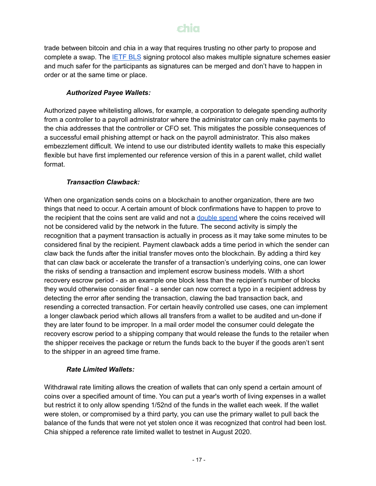trade between bitcoin and chia in a way that requires trusting no other party to propose and complete a swap. The **[IETF](https://datatracker.ietf.org/doc/draft-irtf-cfrg-bls-signature/) BLS** signing protocol also makes multiple signature schemes easier and much safer for the participants as signatures can be merged and don't have to happen in order or at the same time or place.

### *Authorized Payee Wallets:*

Authorized payee whitelisting allows, for example, a corporation to delegate spending authority from a controller to a payroll administrator where the administrator can only make payments to the chia addresses that the controller or CFO set. This mitigates the possible consequences of a successful email phishing attempt or hack on the payroll administrator. This also makes embezzlement difficult. We intend to use our distributed identity wallets to make this especially flexible but have first implemented our reference version of this in a parent wallet, child wallet format.

### *Transaction Clawback:*

When one organization sends coins on a blockchain to another organization, there are two things that need to occur. A certain amount of block confirmations have to happen to prove to the recipient that the coins sent are valid and not a [double](https://en.wikipedia.org/wiki/Double-spending) spend where the coins received will not be considered valid by the network in the future. The second activity is simply the recognition that a payment transaction is actually in process as it may take some minutes to be considered final by the recipient. Payment clawback adds a time period in which the sender can claw back the funds after the initial transfer moves onto the blockchain. By adding a third key that can claw back or accelerate the transfer of a transaction's underlying coins, one can lower the risks of sending a transaction and implement escrow business models. With a short recovery escrow period - as an example one block less than the recipient's number of blocks they would otherwise consider final - a sender can now correct a typo in a recipient address by detecting the error after sending the transaction, clawing the bad transaction back, and resending a corrected transaction. For certain heavily controlled use cases, one can implement a longer clawback period which allows all transfers from a wallet to be audited and un-done if they are later found to be improper. In a mail order model the consumer could delegate the recovery escrow period to a shipping company that would release the funds to the retailer when the shipper receives the package or return the funds back to the buyer if the goods aren't sent to the shipper in an agreed time frame.

### *Rate Limited Wallets:*

Withdrawal rate limiting allows the creation of wallets that can only spend a certain amount of coins over a specified amount of time. You can put a year's worth of living expenses in a wallet but restrict it to only allow spending 1/52nd of the funds in the wallet each week. If the wallet were stolen, or compromised by a third party, you can use the primary wallet to pull back the balance of the funds that were not yet stolen once it was recognized that control had been lost. Chia shipped a reference rate limited wallet to testnet in August 2020.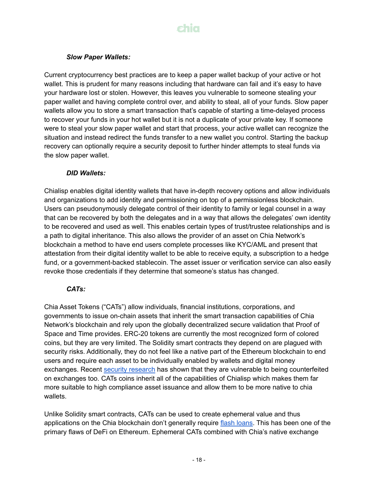

#### *Slow Paper Wallets:*

Current cryptocurrency best practices are to keep a paper wallet backup of your active or hot wallet. This is prudent for many reasons including that hardware can fail and it's easy to have your hardware lost or stolen. However, this leaves you vulnerable to someone stealing your paper wallet and having complete control over, and ability to steal, all of your funds. Slow paper wallets allow you to store a smart transaction that's capable of starting a time-delayed process to recover your funds in your hot wallet but it is not a duplicate of your private key. If someone were to steal your slow paper wallet and start that process, your active wallet can recognize the situation and instead redirect the funds transfer to a new wallet you control. Starting the backup recovery can optionally require a security deposit to further hinder attempts to steal funds via the slow paper wallet.

#### *DID Wallets:*

Chialisp enables digital identity wallets that have in-depth recovery options and allow individuals and organizations to add identity and permissioning on top of a permissionless blockchain. Users can pseudonymously delegate control of their identity to family or legal counsel in a way that can be recovered by both the delegates and in a way that allows the delegates' own identity to be recovered and used as well. This enables certain types of trust/trustee relationships and is a path to digital inheritance. This also allows the provider of an asset on Chia Network's blockchain a method to have end users complete processes like KYC/AML and present that attestation from their digital identity wallet to be able to receive equity, a subscription to a hedge fund, or a government-backed stablecoin. The asset issuer or verification service can also easily revoke those credentials if they determine that someone's status has changed.

#### *CATs:*

Chia Asset Tokens ("CATs") allow individuals, financial institutions, corporations, and governments to issue on-chain assets that inherit the smart transaction capabilities of Chia Network's blockchain and rely upon the globally decentralized secure validation that Proof of Space and Time provides. ERC-20 tokens are currently the most recognized form of colored coins, but they are very limited. The Solidity smart contracts they depend on are plagued with security risks. Additionally, they do not feel like a native part of the Ethereum blockchain to end users and require each asset to be individually enabled by wallets and digital money exchanges. Recent security [research](https://arxiv.org/pdf/2006.06419.pdf) has shown that they are vulnerable to being counterfeited on exchanges too. CATs coins inherit all of the capabilities of Chialisp which makes them far more suitable to high compliance asset issuance and allow them to be more native to chia wallets.

Unlike Solidity smart contracts, CATs can be used to create ephemeral value and thus applications on the Chia blockchain don't generally require flash [loans.](https://www.coindesk.com/learn/2021/02/17/what-is-a-flash-loan/) This has been one of the primary flaws of DeFi on Ethereum. Ephemeral CATs combined with Chia's native exchange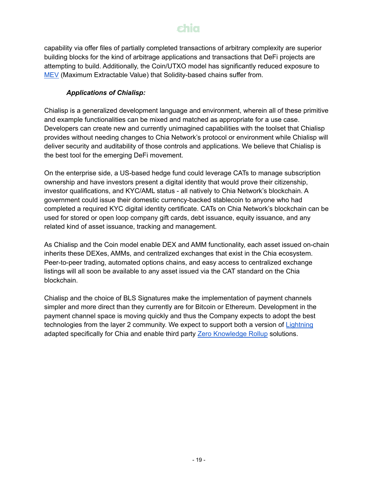capability via offer files of partially completed transactions of arbitrary complexity are superior building blocks for the kind of arbitrage applications and transactions that DeFi projects are attempting to build. Additionally, the Coin/UTXO model has significantly reduced exposure to [MEV](https://carbono.com/blog/m/) (Maximum Extractable Value) that Solidity-based chains suffer from.

### *Applications of Chialisp:*

Chialisp is a generalized development language and environment, wherein all of these primitive and example functionalities can be mixed and matched as appropriate for a use case. Developers can create new and currently unimagined capabilities with the toolset that Chialisp provides without needing changes to Chia Network's protocol or environment while Chialisp will deliver security and auditability of those controls and applications. We believe that Chialisp is the best tool for the emerging DeFi movement.

On the enterprise side, a US-based hedge fund could leverage CATs to manage subscription ownership and have investors present a digital identity that would prove their citizenship, investor qualifications, and KYC/AML status - all natively to Chia Network's blockchain. A government could issue their domestic currency-backed stablecoin to anyone who had completed a required KYC digital identity certificate. CATs on Chia Network's blockchain can be used for stored or open loop company gift cards, debt issuance, equity issuance, and any related kind of asset issuance, tracking and management.

As Chialisp and the Coin model enable DEX and AMM functionality, each asset issued on-chain inherits these DEXes, AMMs, and centralized exchanges that exist in the Chia ecosystem. Peer-to-peer trading, automated options chains, and easy access to centralized exchange listings will all soon be available to any asset issued via the CAT standard on the Chia blockchain.

Chialisp and the choice of BLS Signatures make the implementation of payment channels simpler and more direct than they currently are for Bitcoin or Ethereum. Development in the payment channel space is moving quickly and thus the Company expects to adopt the best technologies from the layer 2 community. We expect to support both a version of [Lightning](https://lightning.network/) adapted specifically for Chia and enable third party Zero [Knowledge](https://coinmarketcap.com/alexandria/glossary/zero-knowledge-rollups) Rollup solutions.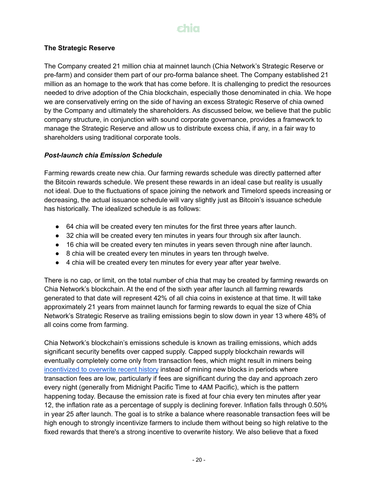#### **The Strategic Reserve**

The Company created 21 million chia at mainnet launch (Chia Network's Strategic Reserve or pre-farm) and consider them part of our pro-forma balance sheet. The Company established 21 million as an homage to the work that has come before. It is challenging to predict the resources needed to drive adoption of the Chia blockchain, especially those denominated in chia. We hope we are conservatively erring on the side of having an excess Strategic Reserve of chia owned by the Company and ultimately the shareholders. As discussed below, we believe that the public company structure, in conjunction with sound corporate governance, provides a framework to manage the Strategic Reserve and allow us to distribute excess chia, if any, in a fair way to shareholders using traditional corporate tools.

#### *Post-launch chia Emission Schedule*

Farming rewards create new chia. Our farming rewards schedule was directly patterned after the Bitcoin rewards schedule. We present these rewards in an ideal case but reality is usually not ideal. Due to the fluctuations of space joining the network and Timelord speeds increasing or decreasing, the actual issuance schedule will vary slightly just as Bitcoin's issuance schedule has historically. The idealized schedule is as follows:

- 64 chia will be created every ten minutes for the first three years after launch.
- 32 chia will be created every ten minutes in years four through six after launch.
- 16 chia will be created every ten minutes in years seven through nine after launch.
- 8 chia will be created every ten minutes in years ten through twelve.
- 4 chia will be created every ten minutes for every year after year twelve.

There is no cap, or limit, on the total number of chia that may be created by farming rewards on Chia Network's blockchain. At the end of the sixth year after launch all farming rewards generated to that date will represent 42% of all chia coins in existence at that time. It will take approximately 21 years from mainnet launch for farming rewards to equal the size of Chia Network's Strategic Reserve as trailing emissions begin to slow down in year 13 where 48% of all coins come from farming.

Chia Network's blockchain's emissions schedule is known as trailing emissions, which adds significant security benefits over capped supply. Capped supply blockchain rewards will eventually completely come only from transaction fees, which might result in miners being [incentivized](https://www.cs.princeton.edu/~arvindn/publications/mining_CCS.pdf) to overwrite recent history instead of mining new blocks in periods where transaction fees are low, particularly if fees are significant during the day and approach zero every night (generally from Midnight Pacific Time to 4AM Pacific), which is the pattern happening today. Because the emission rate is fixed at four chia every ten minutes after year 12, the inflation rate as a percentage of supply is declining forever. Inflation falls through 0.50% in year 25 after launch. The goal is to strike a balance where reasonable transaction fees will be high enough to strongly incentivize farmers to include them without being so high relative to the fixed rewards that there's a strong incentive to overwrite history. We also believe that a fixed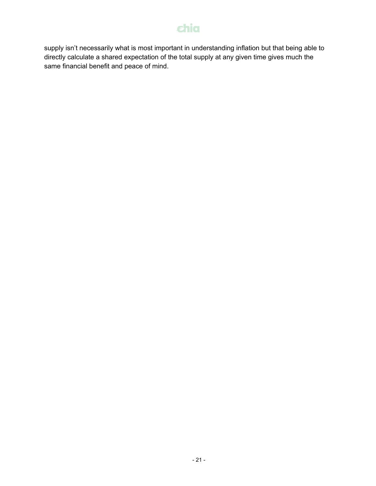supply isn't necessarily what is most important in understanding inflation but that being able to directly calculate a shared expectation of the total supply at any given time gives much the same financial benefit and peace of mind.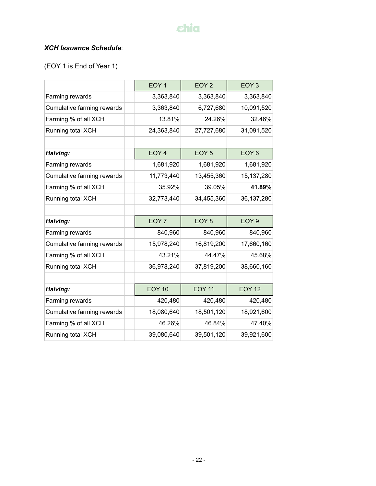### *XCH Issuance Schedule*:

(EOY 1 is End of Year 1)

|                            | EOY <sub>1</sub> | EOY <sub>2</sub> | EOY <sub>3</sub> |
|----------------------------|------------------|------------------|------------------|
| Farming rewards            | 3,363,840        | 3,363,840        | 3,363,840        |
| Cumulative farming rewards | 3,363,840        | 6,727,680        | 10,091,520       |
| Farming % of all XCH       | 13.81%           | 24.26%           | 32.46%           |
| Running total XCH          | 24,363,840       | 27,727,680       | 31,091,520       |
|                            |                  |                  |                  |
| Halving:                   | EOY <sub>4</sub> | EOY <sub>5</sub> | EOY <sub>6</sub> |
| Farming rewards            | 1,681,920        | 1,681,920        | 1,681,920        |
| Cumulative farming rewards | 11,773,440       | 13,455,360       | 15,137,280       |
| Farming % of all XCH       | 35.92%           | 39.05%           | 41.89%           |
| Running total XCH          | 32,773,440       | 34,455,360       | 36,137,280       |
|                            |                  |                  |                  |
| Halving:                   | EOY <sub>7</sub> | EOY <sub>8</sub> | EOY <sub>9</sub> |
| Farming rewards            | 840,960          | 840,960          | 840,960          |
| Cumulative farming rewards | 15,978,240       | 16,819,200       | 17,660,160       |
| Farming % of all XCH       | 43.21%           | 44.47%           | 45.68%           |
| Running total XCH          | 36,978,240       | 37,819,200       | 38,660,160       |
|                            |                  |                  |                  |
| Halving:                   | <b>EOY 10</b>    | <b>EOY 11</b>    | <b>EOY 12</b>    |
| Farming rewards            | 420,480          | 420,480          | 420,480          |
| Cumulative farming rewards | 18,080,640       | 18,501,120       | 18,921,600       |
| Farming % of all XCH       | 46.26%           | 46.84%           | 47.40%           |
| Running total XCH          | 39,080,640       | 39,501,120       | 39,921,600       |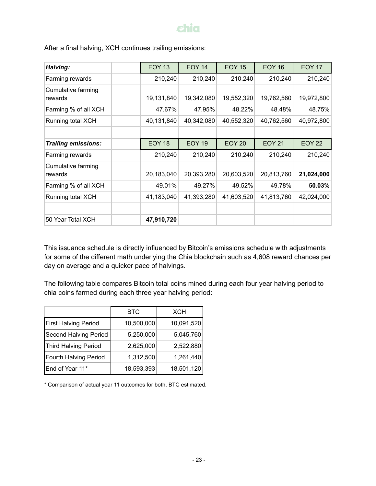| Halving:                      | <b>EOY 13</b> | <b>EOY 14</b> | <b>EOY 15</b> | <b>EOY 16</b> | <b>EOY 17</b> |
|-------------------------------|---------------|---------------|---------------|---------------|---------------|
| Farming rewards               | 210,240       | 210,240       | 210,240       | 210,240       | 210,240       |
| Cumulative farming<br>rewards | 19,131,840    | 19,342,080    | 19,552,320    | 19,762,560    | 19,972,800    |
| Farming % of all XCH          | 47.67%        | 47.95%        | 48.22%        | 48.48%        | 48.75%        |
| Running total XCH             | 40,131,840    | 40,342,080    | 40,552,320    | 40,762,560    | 40,972,800    |
|                               |               |               |               |               |               |
| Trailing emissions:           | <b>EOY 18</b> | <b>EOY 19</b> | <b>EOY 20</b> | <b>EOY 21</b> | <b>EOY 22</b> |
| Farming rewards               | 210,240       | 210,240       | 210,240       | 210,240       | 210,240       |
| Cumulative farming<br>rewards | 20,183,040    | 20,393,280    | 20,603,520    | 20,813,760    | 21,024,000    |
| Farming % of all XCH          | 49.01%        | 49.27%        | 49.52%        | 49.78%        | 50.03%        |
| Running total XCH             | 41,183,040    | 41,393,280    | 41,603,520    | 41,813,760    | 42,024,000    |
| 50 Year Total XCH             | 47,910,720    |               |               |               |               |

After a final halving, XCH continues trailing emissions:

This issuance schedule is directly influenced by Bitcoin's emissions schedule with adjustments for some of the different math underlying the Chia blockchain such as 4,608 reward chances per day on average and a quicker pace of halvings.

The following table compares Bitcoin total coins mined during each four year halving period to chia coins farmed during each three year halving period:

|                             | <b>BTC</b> | <b>XCH</b> |
|-----------------------------|------------|------------|
| <b>First Halving Period</b> | 10,500,000 | 10,091,520 |
| Second Halving Period       | 5,250,000  | 5,045,760  |
| Third Halving Period        | 2,625,000  | 2,522,880  |
| Fourth Halving Period       | 1,312,500  | 1,261,440  |
| End of Year 11*             | 18,593,393 | 18,501,120 |

\* Comparison of actual year 11 outcomes for both, BTC estimated.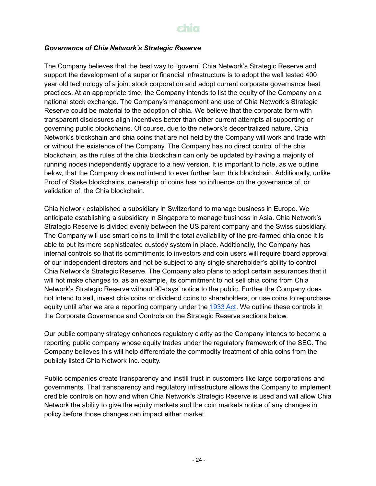#### *Governance of Chia Network's Strategic Reserve*

The Company believes that the best way to "govern" Chia Network's Strategic Reserve and support the development of a superior financial infrastructure is to adopt the well tested 400 year old technology of a joint stock corporation and adopt current corporate governance best practices. At an appropriate time, the Company intends to list the equity of the Company on a national stock exchange. The Company's management and use of Chia Network's Strategic Reserve could be material to the adoption of chia. We believe that the corporate form with transparent disclosures align incentives better than other current attempts at supporting or governing public blockchains. Of course, due to the network's decentralized nature, Chia Network's blockchain and chia coins that are not held by the Company will work and trade with or without the existence of the Company. The Company has no direct control of the chia blockchain, as the rules of the chia blockchain can only be updated by having a majority of running nodes independently upgrade to a new version. It is important to note, as we outline below, that the Company does not intend to ever further farm this blockchain. Additionally, unlike Proof of Stake blockchains, ownership of coins has no influence on the governance of, or validation of, the Chia blockchain.

Chia Network established a subsidiary in Switzerland to manage business in Europe. We anticipate establishing a subsidiary in Singapore to manage business in Asia. Chia Network's Strategic Reserve is divided evenly between the US parent company and the Swiss subsidiary. The Company will use smart coins to limit the total availability of the pre-farmed chia once it is able to put its more sophisticated custody system in place. Additionally, the Company has internal controls so that its commitments to investors and coin users will require board approval of our independent directors and not be subject to any single shareholder's ability to control Chia Network's Strategic Reserve. The Company also plans to adopt certain assurances that it will not make changes to, as an example, its commitment to not sell chia coins from Chia Network's Strategic Reserve without 90-days' notice to the public. Further the Company does not intend to sell, invest chia coins or dividend coins to shareholders, or use coins to repurchase equity until after we are a reporting company under the [1933](https://en.wikipedia.org/wiki/Securities_Act_of_1933) Act. We outline these controls in the Corporate Governance and Controls on the Strategic Reserve sections below.

Our public company strategy enhances regulatory clarity as the Company intends to become a reporting public company whose equity trades under the regulatory framework of the SEC. The Company believes this will help differentiate the commodity treatment of chia coins from the publicly listed Chia Network Inc. equity.

Public companies create transparency and instill trust in customers like large corporations and governments. That transparency and regulatory infrastructure allows the Company to implement credible controls on how and when Chia Network's Strategic Reserve is used and will allow Chia Network the ability to give the equity markets and the coin markets notice of any changes in policy before those changes can impact either market.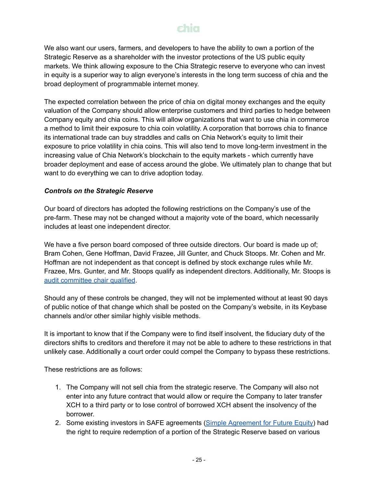We also want our users, farmers, and developers to have the ability to own a portion of the Strategic Reserve as a shareholder with the investor protections of the US public equity markets. We think allowing exposure to the Chia Strategic reserve to everyone who can invest in equity is a superior way to align everyone's interests in the long term success of chia and the broad deployment of programmable internet money.

The expected correlation between the price of chia on digital money exchanges and the equity valuation of the Company should allow enterprise customers and third parties to hedge between Company equity and chia coins. This will allow organizations that want to use chia in commerce a method to limit their exposure to chia coin volatility. A corporation that borrows chia to finance its international trade can buy straddles and calls on Chia Network's equity to limit their exposure to price volatility in chia coins. This will also tend to move long-term investment in the increasing value of Chia Network's blockchain to the equity markets - which currently have broader deployment and ease of access around the globe. We ultimately plan to change that but want to do everything we can to drive adoption today.

#### *Controls on the Strategic Reserve*

Our board of directors has adopted the following restrictions on the Company's use of the pre-farm. These may not be changed without a majority vote of the board, which necessarily includes at least one independent director.

We have a five person board composed of three outside directors. Our board is made up of; Bram Cohen, Gene Hoffman, David Frazee, Jill Gunter, and Chuck Stoops. Mr. Cohen and Mr. Hoffman are not independent as that concept is defined by stock exchange rules while Mr. Frazee, Mrs. Gunter, and Mr. Stoops qualify as independent directors. Additionally, Mr. Stoops is audit [committee](https://www2.deloitte.com/content/dam/Deloitte/us/Documents/center-for-board-effectiveness/us-audit-committee-resource-guide-section-1.pdf) chair qualified.

Should any of these controls be changed, they will not be implemented without at least 90 days of public notice of that change which shall be posted on the Company's website, in its Keybase channels and/or other similar highly visible methods.

It is important to know that if the Company were to find itself insolvent, the fiduciary duty of the directors shifts to creditors and therefore it may not be able to adhere to these restrictions in that unlikely case. Additionally a court order could compel the Company to bypass these restrictions.

These restrictions are as follows:

- 1. The Company will not sell chia from the strategic reserve. The Company will also not enter into any future contract that would allow or require the Company to later transfer XCH to a third party or to lose control of borrowed XCH absent the insolvency of the borrower.
- 2. Some existing investors in SAFE agreements (Simple [Agreement](https://en.wikipedia.org/wiki/Simple_agreement_for_future_equity) for Future Equity) had the right to require redemption of a portion of the Strategic Reserve based on various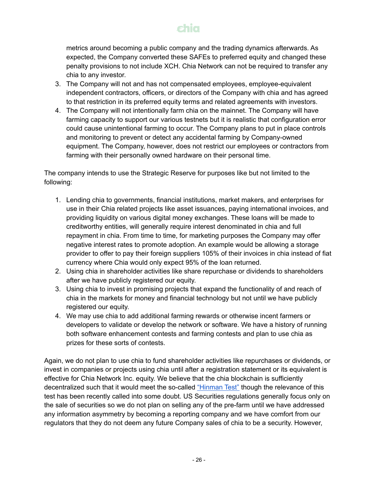metrics around becoming a public company and the trading dynamics afterwards. As expected, the Company converted these SAFEs to preferred equity and changed these penalty provisions to not include XCH. Chia Network can not be required to transfer any chia to any investor.

- 3. The Company will not and has not compensated employees, employee-equivalent independent contractors, officers, or directors of the Company with chia and has agreed to that restriction in its preferred equity terms and related agreements with investors.
- 4. The Company will not intentionally farm chia on the mainnet. The Company will have farming capacity to support our various testnets but it is realistic that configuration error could cause unintentional farming to occur. The Company plans to put in place controls and monitoring to prevent or detect any accidental farming by Company-owned equipment. The Company, however, does not restrict our employees or contractors from farming with their personally owned hardware on their personal time.

The company intends to use the Strategic Reserve for purposes like but not limited to the following:

- 1. Lending chia to governments, financial institutions, market makers, and enterprises for use in their Chia related projects like asset issuances, paying international invoices, and providing liquidity on various digital money exchanges. These loans will be made to creditworthy entities, will generally require interest denominated in chia and full repayment in chia. From time to time, for marketing purposes the Company may offer negative interest rates to promote adoption. An example would be allowing a storage provider to offer to pay their foreign suppliers 105% of their invoices in chia instead of fiat currency where Chia would only expect 95% of the loan returned.
- 2. Using chia in shareholder activities like share repurchase or dividends to shareholders after we have publicly registered our equity.
- 3. Using chia to invest in promising projects that expand the functionality of and reach of chia in the markets for money and financial technology but not until we have publicly registered our equity.
- 4. We may use chia to add additional farming rewards or otherwise incent farmers or developers to validate or develop the network or software. We have a history of running both software enhancement contests and farming contests and plan to use chia as prizes for these sorts of contests.

Again, we do not plan to use chia to fund shareholder activities like repurchases or dividends, or invest in companies or projects using chia until after a registration statement or its equivalent is effective for Chia Network Inc. equity. We believe that the chia blockchain is sufficiently decentralized such that it would meet the so-called ["Hinman](https://blockchainassoc.medium.com/understanding-the-secs-guidance-on-digital-tokens-the-hinman-token-standard-dd51c6105e2a) Test" though the relevance of this test has been recently called into some doubt. US Securities regulations generally focus only on the sale of securities so we do not plan on selling any of the pre-farm until we have addressed any information asymmetry by becoming a reporting company and we have comfort from our regulators that they do not deem any future Company sales of chia to be a security. However,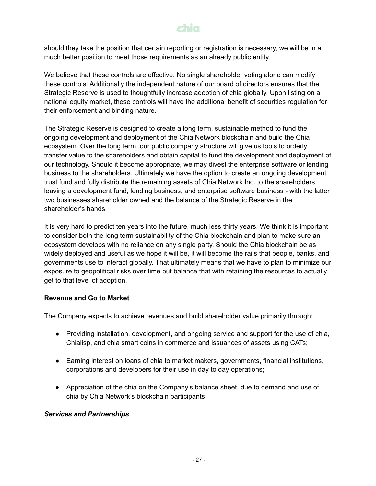should they take the position that certain reporting or registration is necessary, we will be in a much better position to meet those requirements as an already public entity.

We believe that these controls are effective. No single shareholder voting alone can modify these controls. Additionally the independent nature of our board of directors ensures that the Strategic Reserve is used to thoughtfully increase adoption of chia globally. Upon listing on a national equity market, these controls will have the additional benefit of securities regulation for their enforcement and binding nature.

The Strategic Reserve is designed to create a long term, sustainable method to fund the ongoing development and deployment of the Chia Network blockchain and build the Chia ecosystem. Over the long term, our public company structure will give us tools to orderly transfer value to the shareholders and obtain capital to fund the development and deployment of our technology. Should it become appropriate, we may divest the enterprise software or lending business to the shareholders. Ultimately we have the option to create an ongoing development trust fund and fully distribute the remaining assets of Chia Network Inc. to the shareholders leaving a development fund, lending business, and enterprise software business - with the latter two businesses shareholder owned and the balance of the Strategic Reserve in the shareholder's hands.

It is very hard to predict ten years into the future, much less thirty years. We think it is important to consider both the long term sustainability of the Chia blockchain and plan to make sure an ecosystem develops with no reliance on any single party. Should the Chia blockchain be as widely deployed and useful as we hope it will be, it will become the rails that people, banks, and governments use to interact globally. That ultimately means that we have to plan to minimize our exposure to geopolitical risks over time but balance that with retaining the resources to actually get to that level of adoption.

#### **Revenue and Go to Market**

The Company expects to achieve revenues and build shareholder value primarily through:

- Providing installation, development, and ongoing service and support for the use of chia, Chialisp, and chia smart coins in commerce and issuances of assets using CATs;
- Earning interest on loans of chia to market makers, governments, financial institutions, corporations and developers for their use in day to day operations;
- Appreciation of the chia on the Company's balance sheet, due to demand and use of chia by Chia Network's blockchain participants.

#### *Services and Partnerships*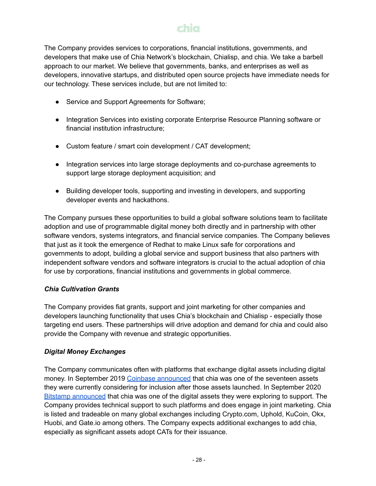The Company provides services to corporations, financial institutions, governments, and developers that make use of Chia Network's blockchain, Chialisp, and chia. We take a barbell approach to our market. We believe that governments, banks, and enterprises as well as developers, innovative startups, and distributed open source projects have immediate needs for our technology. These services include, but are not limited to:

- Service and Support Agreements for Software;
- Integration Services into existing corporate Enterprise Resource Planning software or financial institution infrastructure;
- Custom feature / smart coin development / CAT development;
- Integration services into large storage deployments and co-purchase agreements to support large storage deployment acquisition; and
- Building developer tools, supporting and investing in developers, and supporting developer events and hackathons.

The Company pursues these opportunities to build a global software solutions team to facilitate adoption and use of programmable digital money both directly and in partnership with other software vendors, systems integrators, and financial service companies. The Company believes that just as it took the emergence of Redhat to make Linux safe for corporations and governments to adopt, building a global service and support business that also partners with independent software vendors and software integrators is crucial to the actual adoption of chia for use by corporations, financial institutions and governments in global commerce.

### *Chia Cultivation Grants*

The Company provides fiat grants, support and joint marketing for other companies and developers launching functionality that uses Chia's blockchain and Chialisp - especially those targeting end users. These partnerships will drive adoption and demand for chia and could also provide the Company with revenue and strategic opportunities.

### *Digital Money Exchanges*

The Company communicates often with platforms that exchange digital assets including digital money. In September 2019 Coinbase [announced](https://blog.coinbase.com/coinbase-continues-to-explore-support-for-new-digital-assets-70419575eac4) that chia was one of the seventeen assets they were currently considering for inclusion after those assets launched. In September 2020 Bitstamp [announced](https://www.bitstamp.net/article/bitstamp-continues-exploring-support-additional-di/) that chia was one of the digital assets they were exploring to support. The Company provides technical support to such platforms and does engage in joint marketing. Chia is listed and tradeable on many global exchanges including Crypto.com, Uphold, KuCoin, Okx, Huobi, and Gate.io among others. The Company expects additional exchanges to add chia, especially as significant assets adopt CATs for their issuance.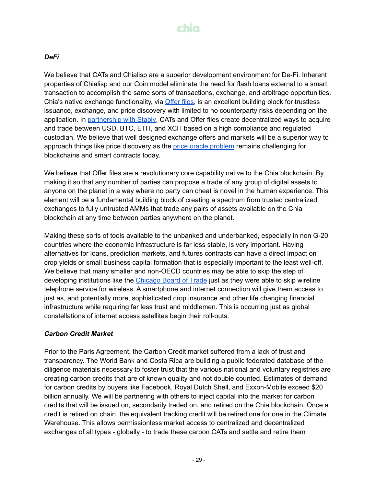### *DeFi*

We believe that CATs and Chialisp are a superior development environment for De-Fi. Inherent properties of Chialisp and our Coin model eliminate the need for flash loans external to a smart transaction to accomplish the same sorts of transactions, exchange, and arbitrage opportunities. Chia's native exchange functionality, via [Offer](https://www.chia.net/2022/01/12/chia-offers-are-here.en.html) files, is an excellent building block for trustless issuance, exchange, and price discovery with limited to no counterparty risks depending on the application. In [partnership](https://www.chia.net/buy-xch/) with Stably, CATs and Offer files create decentralized ways to acquire and trade between USD, BTC, ETH, and XCH based on a high compliance and regulated custodian. We believe that well designed exchange offers and markets will be a superior way to approach things like price discovery as the price oracle [problem](https://www.longhash.com/en/news/3324/DeFi%E2%80%99s-Oracle-Problem-May-Not-Be-Solvable) remains challenging for blockchains and smart contracts today.

We believe that Offer files are a revolutionary core capability native to the Chia blockchain. By making it so that any number of parties can propose a trade of any group of digital assets to anyone on the planet in a way where no party can cheat is novel in the human experience. This element will be a fundamental building block of creating a spectrum from trusted centralized exchanges to fully untrusted AMMs that trade any pairs of assets available on the Chia blockchain at any time between parties anywhere on the planet.

Making these sorts of tools available to the unbanked and underbanked, especially in non G-20 countries where the economic infrastructure is far less stable, is very important. Having alternatives for loans, prediction markets, and futures contracts can have a direct impact on crop yields or small business capital formation that is especially important to the least well-off. We believe that many smaller and non-OECD countries may be able to skip the step of developing institutions like the [Chicago](https://www.cmegroup.com/company/cbot.html#) Board of Trade just as they were able to skip wireline telephone service for wireless. A smartphone and internet connection will give them access to just as, and potentially more, sophisticated crop insurance and other life changing financial infrastructure while requiring far less trust and middlemen. This is occurring just as global constellations of internet access satellites begin their roll-outs.

#### *Carbon Credit Market*

Prior to the Paris Agreement, the Carbon Credit market suffered from a lack of trust and transparency. The World Bank and Costa Rica are building a public federated database of the diligence materials necessary to foster trust that the various national and voluntary registries are creating carbon credits that are of known quality and not double counted. Estimates of demand for carbon credits by buyers like Facebook, Royal Dutch Shell, and Exxon-Mobile exceed \$20 billion annually. We will be partnering with others to inject capital into the market for carbon credits that will be issued on, secondarily traded on, and retired on the Chia blockchain. Once a credit is retired on chain, the equivalent tracking credit will be retired one for one in the Climate Warehouse. This allows permissionless market access to centralized and decentralized exchanges of all types - globally - to trade these carbon CATs and settle and retire them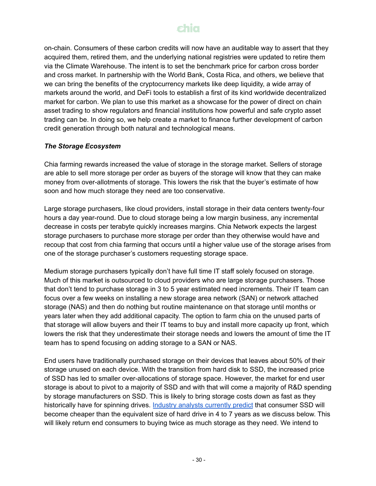on-chain. Consumers of these carbon credits will now have an auditable way to assert that they acquired them, retired them, and the underlying national registries were updated to retire them via the Climate Warehouse. The intent is to set the benchmark price for carbon cross border and cross market. In partnership with the World Bank, Costa Rica, and others, we believe that we can bring the benefits of the cryptocurrency markets like deep liquidity, a wide array of markets around the world, and DeFi tools to establish a first of its kind worldwide decentralized market for carbon. We plan to use this market as a showcase for the power of direct on chain asset trading to show regulators and financial institutions how powerful and safe crypto asset trading can be. In doing so, we help create a market to finance further development of carbon credit generation through both natural and technological means.

#### *The Storage Ecosystem*

Chia farming rewards increased the value of storage in the storage market. Sellers of storage are able to sell more storage per order as buyers of the storage will know that they can make money from over-allotments of storage. This lowers the risk that the buyer's estimate of how soon and how much storage they need are too conservative.

Large storage purchasers, like cloud providers, install storage in their data centers twenty-four hours a day year-round. Due to cloud storage being a low margin business, any incremental decrease in costs per terabyte quickly increases margins. Chia Network expects the largest storage purchasers to purchase more storage per order than they otherwise would have and recoup that cost from chia farming that occurs until a higher value use of the storage arises from one of the storage purchaser's customers requesting storage space.

Medium storage purchasers typically don't have full time IT staff solely focused on storage. Much of this market is outsourced to cloud providers who are large storage purchasers. Those that don't tend to purchase storage in 3 to 5 year estimated need increments. Their IT team can focus over a few weeks on installing a new storage area network (SAN) or network attached storage (NAS) and then do nothing but routine maintenance on that storage until months or years later when they add additional capacity. The option to farm chia on the unused parts of that storage will allow buyers and their IT teams to buy and install more capacity up front, which lowers the risk that they underestimate their storage needs and lowers the amount of time the IT team has to spend focusing on adding storage to a SAN or NAS.

End users have traditionally purchased storage on their devices that leaves about 50% of their storage unused on each device. With the transition from hard disk to SSD, the increased price of SSD has led to smaller over-allocations of storage space. However, the market for end user storage is about to pivot to a majority of SSD and with that will come a majority of R&D spending by storage manufacturers on SSD. This is likely to bring storage costs down as fast as they historically have for spinning drives. Industry analysts [currently](https://wikibon.com/qlc-flash-hamrs-hdd/) predict that consumer SSD will become cheaper than the equivalent size of hard drive in 4 to 7 years as we discuss below. This will likely return end consumers to buying twice as much storage as they need. We intend to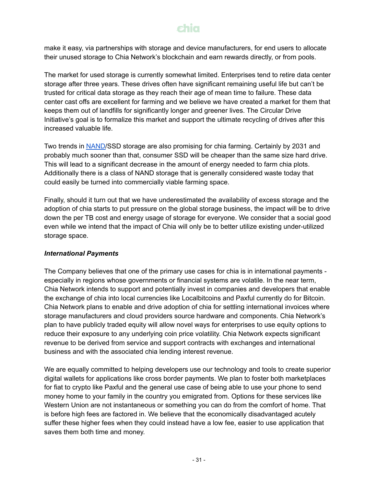make it easy, via partnerships with storage and device manufacturers, for end users to allocate their unused storage to Chia Network's blockchain and earn rewards directly, or from pools.

The market for used storage is currently somewhat limited. Enterprises tend to retire data center storage after three years. These drives often have significant remaining useful life but can't be trusted for critical data storage as they reach their age of mean time to failure. These data center cast offs are excellent for farming and we believe we have created a market for them that keeps them out of landfills for significantly longer and greener lives. The Circular Drive Initiative's goal is to formalize this market and support the ultimate recycling of drives after this increased valuable life.

Two trends in [NAND/](https://en.wikipedia.org/wiki/Flash_memory#NAND_flash)SSD storage are also promising for chia farming. Certainly by 2031 and probably much sooner than that, consumer SSD will be cheaper than the same size hard drive. This will lead to a significant decrease in the amount of energy needed to farm chia plots. Additionally there is a class of NAND storage that is generally considered waste today that could easily be turned into commercially viable farming space.

Finally, should it turn out that we have underestimated the availability of excess storage and the adoption of chia starts to put pressure on the global storage business, the impact will be to drive down the per TB cost and energy usage of storage for everyone. We consider that a social good even while we intend that the impact of Chia will only be to better utilize existing under-utilized storage space.

#### *International Payments*

The Company believes that one of the primary use cases for chia is in international payments especially in regions whose governments or financial systems are volatile. In the near term, Chia Network intends to support and potentially invest in companies and developers that enable the exchange of chia into local currencies like Localbitcoins and Paxful currently do for Bitcoin. Chia Network plans to enable and drive adoption of chia for settling international invoices where storage manufacturers and cloud providers source hardware and components. Chia Network's plan to have publicly traded equity will allow novel ways for enterprises to use equity options to reduce their exposure to any underlying coin price volatility. Chia Network expects significant revenue to be derived from service and support contracts with exchanges and international business and with the associated chia lending interest revenue.

We are equally committed to helping developers use our technology and tools to create superior digital wallets for applications like cross border payments. We plan to foster both marketplaces for fiat to crypto like Paxful and the general use case of being able to use your phone to send money home to your family in the country you emigrated from. Options for these services like Western Union are not instantaneous or something you can do from the comfort of home. That is before high fees are factored in. We believe that the economically disadvantaged acutely suffer these higher fees when they could instead have a low fee, easier to use application that saves them both time and money.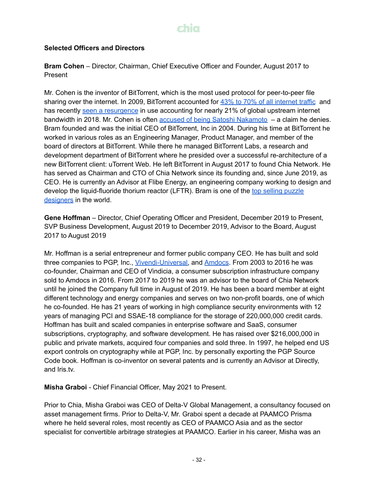#### **Selected Officers and Directors**

**Bram Cohen** – Director, Chairman, Chief Executive Officer and Founder, August 2017 to Present

Mr. Cohen is the inventor of BitTorrent, which is the most used protocol for peer-to-peer file sharing over the [internet](https://web.archive.org/web/20110626192933/http://www.ipoque.com/sites/default/files/mediafiles/documents/internet-study-2008-2009.pdf). In 2009, BitTorrent accounted for 43% to 70% of all internet traffic and has recently seen a [resurgence](https://www.vice.com/en_us/article/d3q45v/bittorrent-usage-increases-netflix-streaming-sites) in use accounting for nearly 21% of global upstream internet bandwidth in 2018. Mr. Cohen is often accused of being Satoshi [Nakamoto](https://news.bitcoin.com/10-people-who-might-be-satoshi-nakamoto/) – a claim he denies. Bram founded and was the initial CEO of BitTorrent, Inc in 2004. During his time at BitTorrent he worked in various roles as an Engineering Manager, Product Manager, and member of the board of directors at BitTorrent. While there he managed BitTorrent Labs, a research and development department of BitTorrent where he presided over a successful re-architecture of a new BitTorrent client: uTorrent Web. He left BitTorrent in August 2017 to found Chia Network. He has served as Chairman and CTO of Chia Network since its founding and, since June 2019, as CEO. He is currently an Advisor at Flibe Energy, an engineering company working to design and develop the liquid-fluoride thorium reactor (LFTR). Bram is one of the top selling [puzzle](https://www.puzzlemaster.ca/browse/inventors/cohen/) [designers](https://www.puzzlemaster.ca/browse/inventors/cohen/) in the world.

**Gene Hoffman** – Director, Chief Operating Officer and President, December 2019 to Present, SVP Business Development, August 2019 to December 2019, Advisor to the Board, August 2017 to August 2019

Mr. Hoffman is a serial entrepreneur and former public company CEO. He has built and sold three companies to PGP, Inc., [Vivendi-Universal,](https://www.wsj.com/articles/SB986824941148670041) and [Amdocs.](https://www.crunchbase.com/acquisition/amdocs-acquires-vindicia--a8dd2c0e) From 2003 to 2016 he was co-founder, Chairman and CEO of Vindicia, a consumer subscription infrastructure company sold to Amdocs in 2016. From 2017 to 2019 he was an advisor to the board of Chia Network until he joined the Company full time in August of 2019. He has been a board member at eight different technology and energy companies and serves on two non-profit boards, one of which he co-founded. He has 21 years of working in high compliance security environments with 12 years of managing PCI and SSAE-18 compliance for the storage of 220,000,000 credit cards. Hoffman has built and scaled companies in enterprise software and SaaS, consumer subscriptions, cryptography, and software development. He has raised over \$216,000,000 in public and private markets, acquired four companies and sold three. In 1997, he helped end US export controls on cryptography while at PGP, Inc. by personally exporting the PGP Source Code book. Hoffman is co-inventor on several patents and is currently an Advisor at Directly, and Iris.tv.

**Misha Graboi** - Chief Financial Officer, May 2021 to Present.

Prior to Chia, Misha Graboi was CEO of Delta-V Global Management, a consultancy focused on asset management firms. Prior to Delta-V, Mr. Graboi spent a decade at PAAMCO Prisma where he held several roles, most recently as CEO of PAAMCO Asia and as the sector specialist for convertible arbitrage strategies at PAAMCO. Earlier in his career, Misha was an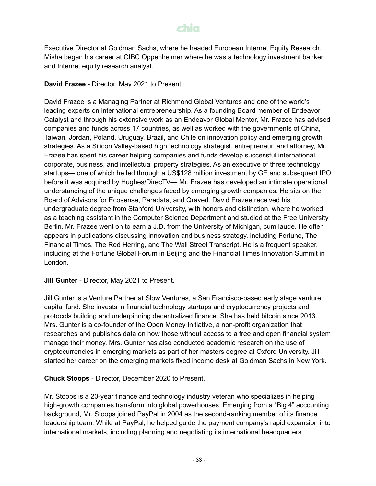Executive Director at Goldman Sachs, where he headed European Internet Equity Research. Misha began his career at CIBC Oppenheimer where he was a technology investment banker and Internet equity research analyst.

**David Frazee** - Director, May 2021 to Present.

David Frazee is a Managing Partner at Richmond Global Ventures and one of the world's leading experts on international entrepreneurship. As a founding Board member of Endeavor Catalyst and through his extensive work as an Endeavor Global Mentor, Mr. Frazee has advised companies and funds across 17 countries, as well as worked with the governments of China, Taiwan, Jordan, Poland, Uruguay, Brazil, and Chile on innovation policy and emerging growth strategies. As a Silicon Valley-based high technology strategist, entrepreneur, and attorney, Mr. Frazee has spent his career helping companies and funds develop successful international corporate, business, and intellectual property strategies. As an executive of three technology startups— one of which he led through a US\$128 million investment by GE and subsequent IPO before it was acquired by Hughes/DirecTV— Mr. Frazee has developed an intimate operational understanding of the unique challenges faced by emerging growth companies. He sits on the Board of Advisors for Ecosense, Paradata, and Qraved. David Frazee received his undergraduate degree from Stanford University, with honors and distinction, where he worked as a teaching assistant in the Computer Science Department and studied at the Free University Berlin. Mr. Frazee went on to earn a J.D. from the University of Michigan, cum laude. He often appears in publications discussing innovation and business strategy, including Fortune, The Financial Times, The Red Herring, and The Wall Street Transcript. He is a frequent speaker, including at the Fortune Global Forum in Beijing and the Financial Times Innovation Summit in London.

**Jill Gunter** - Director, May 2021 to Present.

Jill Gunter is a Venture Partner at Slow Ventures, a San Francisco-based early stage venture capital fund. She invests in financial technology startups and cryptocurrency projects and protocols building and underpinning decentralized finance. She has held bitcoin since 2013. Mrs. Gunter is a co-founder of the Open Money Initiative, a non-profit organization that researches and publishes data on how those without access to a free and open financial system manage their money. Mrs. Gunter has also conducted academic research on the use of cryptocurrencies in emerging markets as part of her masters degree at Oxford University. Jill started her career on the emerging markets fixed income desk at Goldman Sachs in New York.

**Chuck Stoops** - Director, December 2020 to Present.

Mr. Stoops is a 20-year finance and technology industry veteran who specializes in helping high-growth companies transform into global powerhouses. Emerging from a "Big 4" accounting background, Mr. Stoops joined PayPal in 2004 as the second-ranking member of its finance leadership team. While at PayPal, he helped guide the payment company's rapid expansion into international markets, including planning and negotiating its international headquarters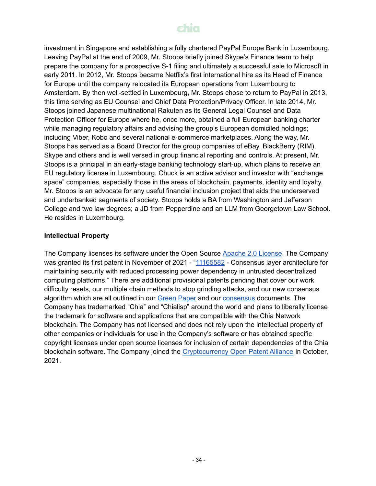investment in Singapore and establishing a fully chartered PayPal Europe Bank in Luxembourg. Leaving PayPal at the end of 2009, Mr. Stoops briefly joined Skype's Finance team to help prepare the company for a prospective S-1 filing and ultimately a successful sale to Microsoft in early 2011. In 2012, Mr. Stoops became Netflix's first international hire as its Head of Finance for Europe until the company relocated its European operations from Luxembourg to Amsterdam. By then well-settled in Luxembourg, Mr. Stoops chose to return to PayPal in 2013, this time serving as EU Counsel and Chief Data Protection/Privacy Officer. In late 2014, Mr. Stoops joined Japanese multinational Rakuten as its General Legal Counsel and Data Protection Officer for Europe where he, once more, obtained a full European banking charter while managing regulatory affairs and advising the group's European domiciled holdings; including Viber, Kobo and several national e-commerce marketplaces. Along the way, Mr. Stoops has served as a Board Director for the group companies of eBay, BlackBerry (RIM), Skype and others and is well versed in group financial reporting and controls. At present, Mr. Stoops is a principal in an early-stage banking technology start-up, which plans to receive an EU regulatory license in Luxembourg. Chuck is an active advisor and investor with "exchange space" companies, especially those in the areas of blockchain, payments, identity and loyalty. Mr. Stoops is an advocate for any useful financial inclusion project that aids the underserved and underbanked segments of society. Stoops holds a BA from Washington and Jefferson College and two law degrees; a JD from Pepperdine and an LLM from Georgetown Law School. He resides in Luxembourg.

#### **Intellectual Property**

The Company licenses its software under the Open Source Apache 2.0 [License](https://www.apache.org/licenses/LICENSE-2.0). The Company was granted its first patent in November of 2021 - "[11165582](https://patents.google.com/patent/US11165582B2/en) - Consensus layer architecture for maintaining security with reduced processing power dependency in untrusted decentralized computing platforms." There are additional provisional patents pending that cover our work difficulty resets, our multiple chain methods to stop grinding attacks, and our new consensus algorithm which are all outlined in our [Green](https://www.chia.net/assets/ChiaGreenPaper.pdf) Paper and our [consensus](https://docs.chia.net/docs/03consensus/consensus_intro) documents. The Company has trademarked "Chia" and "Chialisp" around the world and plans to liberally license the trademark for software and applications that are compatible with the Chia Network blockchain. The Company has not licensed and does not rely upon the intellectual property of other companies or individuals for use in the Company's software or has obtained specific copyright licenses under open source licenses for inclusion of certain dependencies of the Chia blockchain software. The Company joined the [Cryptocurrency](https://www.opencrypto.org/) Open Patent Alliance in October, 2021.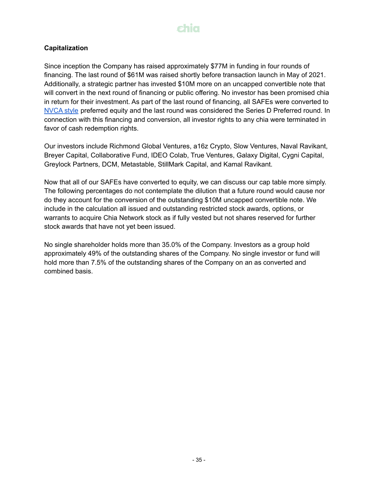#### **Capitalization**

Since inception the Company has raised approximately \$77M in funding in four rounds of financing. The last round of \$61M was raised shortly before transaction launch in May of 2021. Additionally, a strategic partner has invested \$10M more on an uncapped convertible note that will convert in the next round of financing or public offering. No investor has been promised chia in return for their investment. As part of the last round of financing, all SAFEs were converted to [NVCA](https://nvca.org/model-legal-documents/) style preferred equity and the last round was considered the Series D Preferred round. In connection with this financing and conversion, all investor rights to any chia were terminated in favor of cash redemption rights.

Our investors include Richmond Global Ventures, a16z Crypto, Slow Ventures, Naval Ravikant, Breyer Capital, Collaborative Fund, IDEO Colab, True Ventures, Galaxy Digital, Cygni Capital, Greylock Partners, DCM, Metastable, StillMark Capital, and Kamal Ravikant.

Now that all of our SAFEs have converted to equity, we can discuss our cap table more simply. The following percentages do not contemplate the dilution that a future round would cause nor do they account for the conversion of the outstanding \$10M uncapped convertible note. We include in the calculation all issued and outstanding restricted stock awards, options, or warrants to acquire Chia Network stock as if fully vested but not shares reserved for further stock awards that have not yet been issued.

No single shareholder holds more than 35.0% of the Company. Investors as a group hold approximately 49% of the outstanding shares of the Company. No single investor or fund will hold more than 7.5% of the outstanding shares of the Company on an as converted and combined basis.